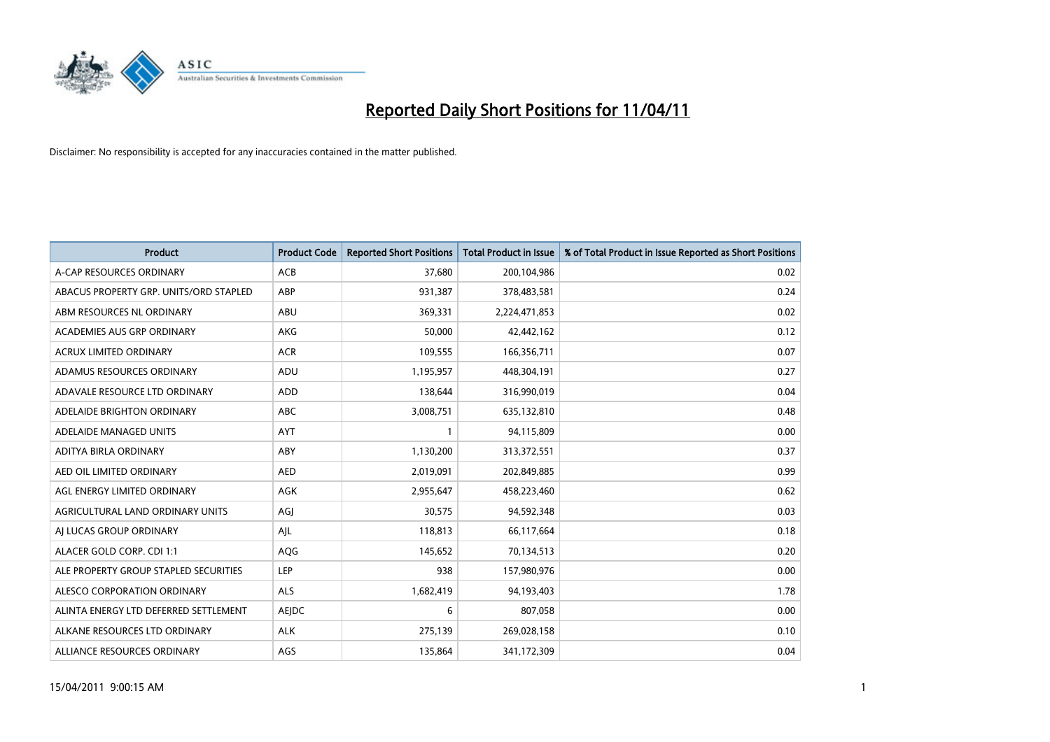

| <b>Product</b>                         | <b>Product Code</b> | <b>Reported Short Positions</b> | Total Product in Issue | % of Total Product in Issue Reported as Short Positions |
|----------------------------------------|---------------------|---------------------------------|------------------------|---------------------------------------------------------|
| A-CAP RESOURCES ORDINARY               | <b>ACB</b>          | 37,680                          | 200,104,986            | 0.02                                                    |
| ABACUS PROPERTY GRP. UNITS/ORD STAPLED | ABP                 | 931,387                         | 378,483,581            | 0.24                                                    |
| ABM RESOURCES NL ORDINARY              | <b>ABU</b>          | 369,331                         | 2,224,471,853          | 0.02                                                    |
| ACADEMIES AUS GRP ORDINARY             | AKG                 | 50,000                          | 42,442,162             | 0.12                                                    |
| <b>ACRUX LIMITED ORDINARY</b>          | <b>ACR</b>          | 109,555                         | 166,356,711            | 0.07                                                    |
| ADAMUS RESOURCES ORDINARY              | ADU                 | 1,195,957                       | 448,304,191            | 0.27                                                    |
| ADAVALE RESOURCE LTD ORDINARY          | <b>ADD</b>          | 138,644                         | 316,990,019            | 0.04                                                    |
| ADELAIDE BRIGHTON ORDINARY             | <b>ABC</b>          | 3,008,751                       | 635,132,810            | 0.48                                                    |
| ADELAIDE MANAGED UNITS                 | AYT                 |                                 | 94,115,809             | 0.00                                                    |
| ADITYA BIRLA ORDINARY                  | ABY                 | 1,130,200                       | 313,372,551            | 0.37                                                    |
| AED OIL LIMITED ORDINARY               | <b>AED</b>          | 2,019,091                       | 202,849,885            | 0.99                                                    |
| AGL ENERGY LIMITED ORDINARY            | AGK                 | 2,955,647                       | 458,223,460            | 0.62                                                    |
| AGRICULTURAL LAND ORDINARY UNITS       | AGJ                 | 30,575                          | 94,592,348             | 0.03                                                    |
| AI LUCAS GROUP ORDINARY                | AJL                 | 118,813                         | 66,117,664             | 0.18                                                    |
| ALACER GOLD CORP. CDI 1:1              | AQG                 | 145,652                         | 70,134,513             | 0.20                                                    |
| ALE PROPERTY GROUP STAPLED SECURITIES  | LEP                 | 938                             | 157,980,976            | 0.00                                                    |
| ALESCO CORPORATION ORDINARY            | <b>ALS</b>          | 1,682,419                       | 94,193,403             | 1.78                                                    |
| ALINTA ENERGY LTD DEFERRED SETTLEMENT  | AEJDC               | 6                               | 807,058                | 0.00                                                    |
| ALKANE RESOURCES LTD ORDINARY          | <b>ALK</b>          | 275,139                         | 269,028,158            | 0.10                                                    |
| ALLIANCE RESOURCES ORDINARY            | AGS                 | 135,864                         | 341,172,309            | 0.04                                                    |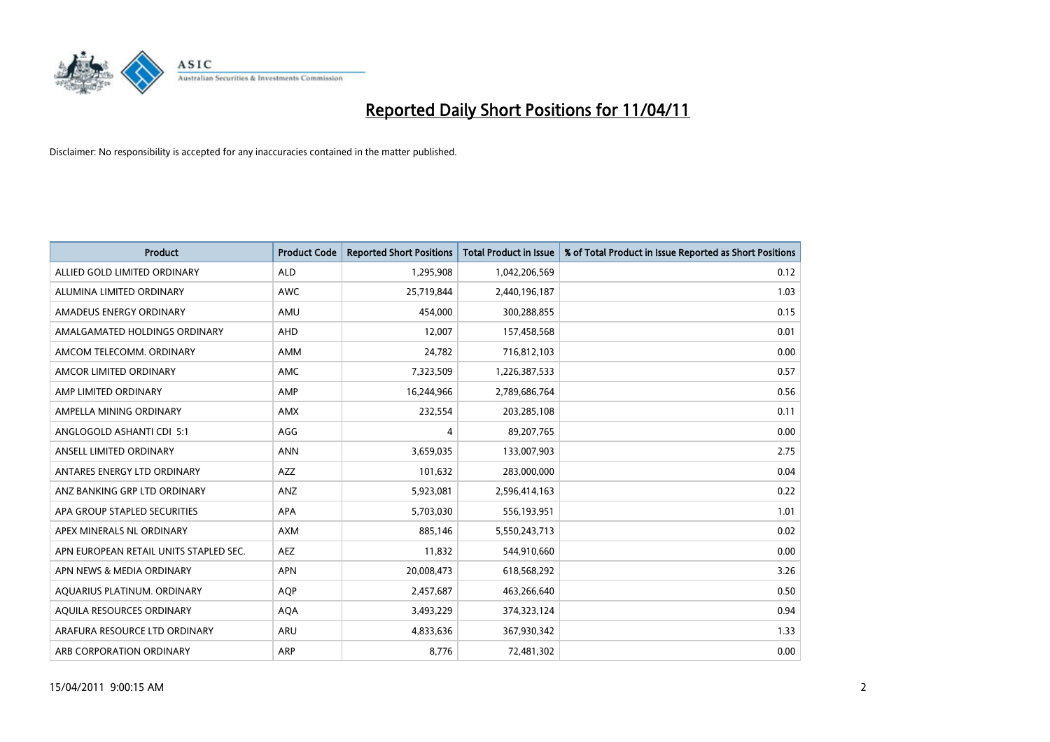

| <b>Product</b>                         | <b>Product Code</b> | <b>Reported Short Positions</b> | <b>Total Product in Issue</b> | % of Total Product in Issue Reported as Short Positions |
|----------------------------------------|---------------------|---------------------------------|-------------------------------|---------------------------------------------------------|
| ALLIED GOLD LIMITED ORDINARY           | <b>ALD</b>          | 1,295,908                       | 1,042,206,569                 | 0.12                                                    |
| ALUMINA LIMITED ORDINARY               | <b>AWC</b>          | 25,719,844                      | 2,440,196,187                 | 1.03                                                    |
| <b>AMADEUS ENERGY ORDINARY</b>         | AMU                 | 454,000                         | 300,288,855                   | 0.15                                                    |
| AMALGAMATED HOLDINGS ORDINARY          | AHD                 | 12,007                          | 157,458,568                   | 0.01                                                    |
| AMCOM TELECOMM. ORDINARY               | <b>AMM</b>          | 24,782                          | 716,812,103                   | 0.00                                                    |
| AMCOR LIMITED ORDINARY                 | <b>AMC</b>          | 7,323,509                       | 1,226,387,533                 | 0.57                                                    |
| AMP LIMITED ORDINARY                   | AMP                 | 16,244,966                      | 2,789,686,764                 | 0.56                                                    |
| AMPELLA MINING ORDINARY                | <b>AMX</b>          | 232,554                         | 203,285,108                   | 0.11                                                    |
| ANGLOGOLD ASHANTI CDI 5:1              | AGG                 | 4                               | 89,207,765                    | 0.00                                                    |
| ANSELL LIMITED ORDINARY                | <b>ANN</b>          | 3,659,035                       | 133,007,903                   | 2.75                                                    |
| ANTARES ENERGY LTD ORDINARY            | <b>AZZ</b>          | 101,632                         | 283,000,000                   | 0.04                                                    |
| ANZ BANKING GRP LTD ORDINARY           | ANZ                 | 5,923,081                       | 2,596,414,163                 | 0.22                                                    |
| APA GROUP STAPLED SECURITIES           | <b>APA</b>          | 5,703,030                       | 556,193,951                   | 1.01                                                    |
| APEX MINERALS NL ORDINARY              | <b>AXM</b>          | 885.146                         | 5,550,243,713                 | 0.02                                                    |
| APN EUROPEAN RETAIL UNITS STAPLED SEC. | <b>AEZ</b>          | 11,832                          | 544,910,660                   | 0.00                                                    |
| APN NEWS & MEDIA ORDINARY              | <b>APN</b>          | 20,008,473                      | 618,568,292                   | 3.26                                                    |
| AQUARIUS PLATINUM. ORDINARY            | <b>AQP</b>          | 2,457,687                       | 463,266,640                   | 0.50                                                    |
| AQUILA RESOURCES ORDINARY              | <b>AQA</b>          | 3,493,229                       | 374,323,124                   | 0.94                                                    |
| ARAFURA RESOURCE LTD ORDINARY          | <b>ARU</b>          | 4,833,636                       | 367,930,342                   | 1.33                                                    |
| ARB CORPORATION ORDINARY               | <b>ARP</b>          | 8.776                           | 72,481,302                    | 0.00                                                    |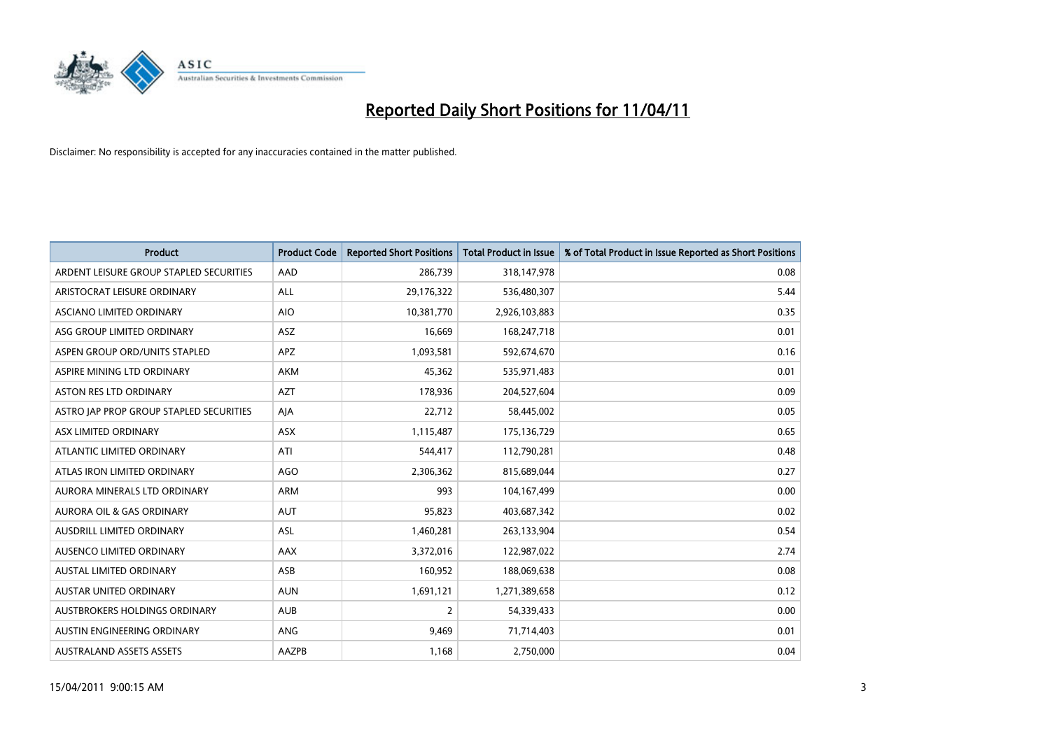

| <b>Product</b>                          | <b>Product Code</b> | <b>Reported Short Positions</b> | Total Product in Issue | % of Total Product in Issue Reported as Short Positions |
|-----------------------------------------|---------------------|---------------------------------|------------------------|---------------------------------------------------------|
| ARDENT LEISURE GROUP STAPLED SECURITIES | AAD                 | 286,739                         | 318,147,978            | 0.08                                                    |
| ARISTOCRAT LEISURE ORDINARY             | ALL                 | 29,176,322                      | 536,480,307            | 5.44                                                    |
| ASCIANO LIMITED ORDINARY                | <b>AIO</b>          | 10,381,770                      | 2,926,103,883          | 0.35                                                    |
| ASG GROUP LIMITED ORDINARY              | <b>ASZ</b>          | 16,669                          | 168,247,718            | 0.01                                                    |
| ASPEN GROUP ORD/UNITS STAPLED           | <b>APZ</b>          | 1,093,581                       | 592,674,670            | 0.16                                                    |
| ASPIRE MINING LTD ORDINARY              | <b>AKM</b>          | 45.362                          | 535,971,483            | 0.01                                                    |
| ASTON RES LTD ORDINARY                  | <b>AZT</b>          | 178,936                         | 204,527,604            | 0.09                                                    |
| ASTRO JAP PROP GROUP STAPLED SECURITIES | AJA                 | 22,712                          | 58,445,002             | 0.05                                                    |
| ASX LIMITED ORDINARY                    | ASX                 | 1,115,487                       | 175,136,729            | 0.65                                                    |
| ATLANTIC LIMITED ORDINARY               | ATI                 | 544,417                         | 112,790,281            | 0.48                                                    |
| ATLAS IRON LIMITED ORDINARY             | <b>AGO</b>          | 2,306,362                       | 815,689,044            | 0.27                                                    |
| AURORA MINERALS LTD ORDINARY            | <b>ARM</b>          | 993                             | 104,167,499            | 0.00                                                    |
| <b>AURORA OIL &amp; GAS ORDINARY</b>    | <b>AUT</b>          | 95,823                          | 403,687,342            | 0.02                                                    |
| <b>AUSDRILL LIMITED ORDINARY</b>        | <b>ASL</b>          | 1,460,281                       | 263,133,904            | 0.54                                                    |
| <b>AUSENCO LIMITED ORDINARY</b>         | AAX                 | 3,372,016                       | 122,987,022            | 2.74                                                    |
| <b>AUSTAL LIMITED ORDINARY</b>          | ASB                 | 160,952                         | 188,069,638            | 0.08                                                    |
| <b>AUSTAR UNITED ORDINARY</b>           | <b>AUN</b>          | 1,691,121                       | 1,271,389,658          | 0.12                                                    |
| AUSTBROKERS HOLDINGS ORDINARY           | <b>AUB</b>          | 2                               | 54,339,433             | 0.00                                                    |
| AUSTIN ENGINEERING ORDINARY             | ANG                 | 9,469                           | 71,714,403             | 0.01                                                    |
| <b>AUSTRALAND ASSETS ASSETS</b>         | <b>AAZPB</b>        | 1,168                           | 2,750,000              | 0.04                                                    |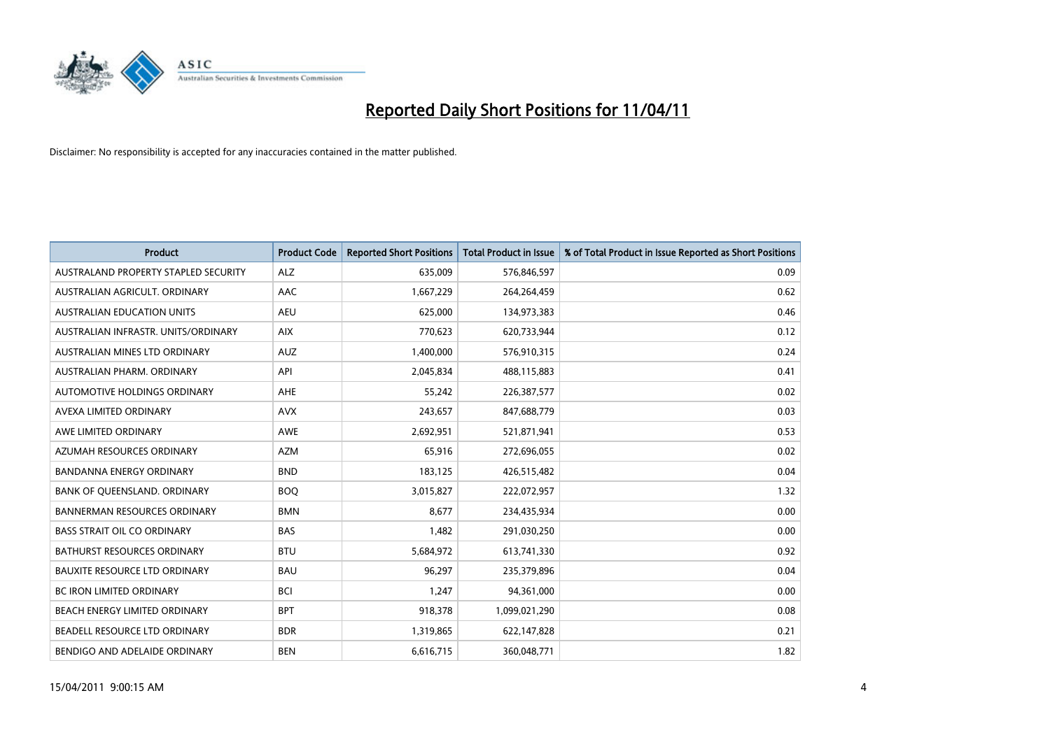

| <b>Product</b>                       | <b>Product Code</b> | <b>Reported Short Positions</b> | <b>Total Product in Issue</b> | % of Total Product in Issue Reported as Short Positions |
|--------------------------------------|---------------------|---------------------------------|-------------------------------|---------------------------------------------------------|
| AUSTRALAND PROPERTY STAPLED SECURITY | <b>ALZ</b>          | 635,009                         | 576,846,597                   | 0.09                                                    |
| AUSTRALIAN AGRICULT, ORDINARY        | AAC                 | 1,667,229                       | 264,264,459                   | 0.62                                                    |
| <b>AUSTRALIAN EDUCATION UNITS</b>    | <b>AEU</b>          | 625,000                         | 134,973,383                   | 0.46                                                    |
| AUSTRALIAN INFRASTR. UNITS/ORDINARY  | <b>AIX</b>          | 770,623                         | 620,733,944                   | 0.12                                                    |
| AUSTRALIAN MINES LTD ORDINARY        | <b>AUZ</b>          | 1,400,000                       | 576,910,315                   | 0.24                                                    |
| AUSTRALIAN PHARM, ORDINARY           | API                 | 2,045,834                       | 488,115,883                   | 0.41                                                    |
| AUTOMOTIVE HOLDINGS ORDINARY         | <b>AHE</b>          | 55,242                          | 226,387,577                   | 0.02                                                    |
| AVEXA LIMITED ORDINARY               | <b>AVX</b>          | 243,657                         | 847,688,779                   | 0.03                                                    |
| AWE LIMITED ORDINARY                 | <b>AWE</b>          | 2,692,951                       | 521,871,941                   | 0.53                                                    |
| AZUMAH RESOURCES ORDINARY            | <b>AZM</b>          | 65,916                          | 272,696,055                   | 0.02                                                    |
| <b>BANDANNA ENERGY ORDINARY</b>      | <b>BND</b>          | 183,125                         | 426,515,482                   | 0.04                                                    |
| BANK OF QUEENSLAND. ORDINARY         | <b>BOO</b>          | 3,015,827                       | 222,072,957                   | 1.32                                                    |
| <b>BANNERMAN RESOURCES ORDINARY</b>  | <b>BMN</b>          | 8.677                           | 234,435,934                   | 0.00                                                    |
| <b>BASS STRAIT OIL CO ORDINARY</b>   | <b>BAS</b>          | 1,482                           | 291,030,250                   | 0.00                                                    |
| BATHURST RESOURCES ORDINARY          | <b>BTU</b>          | 5,684,972                       | 613,741,330                   | 0.92                                                    |
| <b>BAUXITE RESOURCE LTD ORDINARY</b> | <b>BAU</b>          | 96,297                          | 235,379,896                   | 0.04                                                    |
| <b>BC IRON LIMITED ORDINARY</b>      | <b>BCI</b>          | 1,247                           | 94,361,000                    | 0.00                                                    |
| BEACH ENERGY LIMITED ORDINARY        | <b>BPT</b>          | 918,378                         | 1,099,021,290                 | 0.08                                                    |
| BEADELL RESOURCE LTD ORDINARY        | <b>BDR</b>          | 1,319,865                       | 622,147,828                   | 0.21                                                    |
| BENDIGO AND ADELAIDE ORDINARY        | <b>BEN</b>          | 6,616,715                       | 360,048,771                   | 1.82                                                    |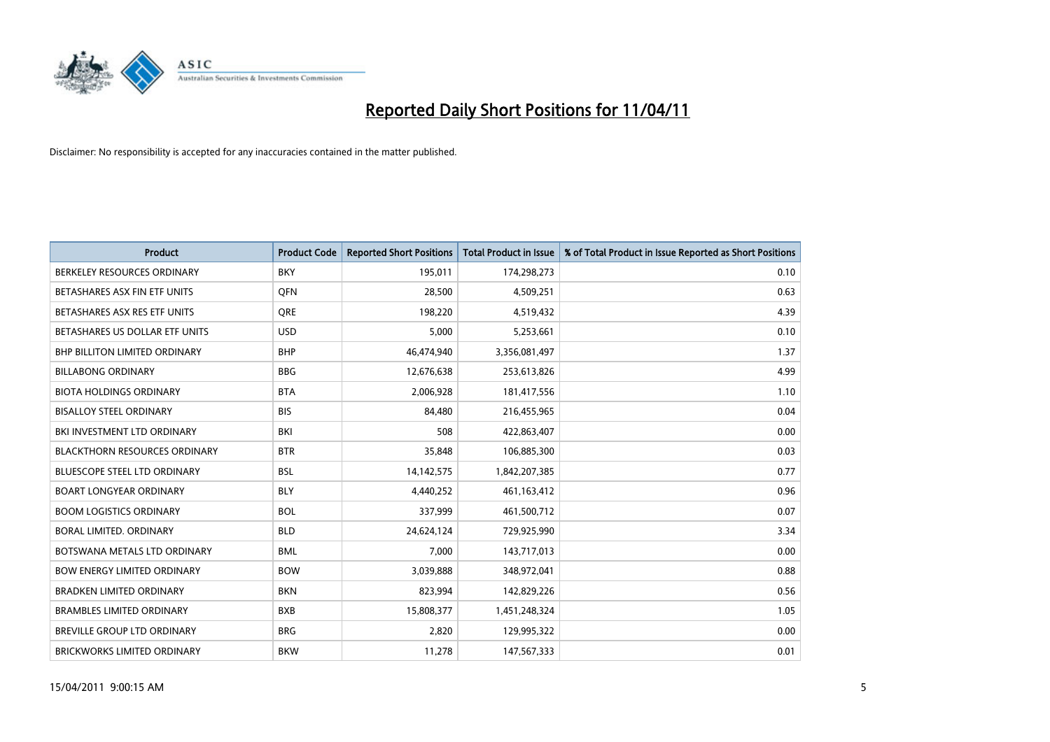

| <b>Product</b>                       | <b>Product Code</b> | <b>Reported Short Positions</b> | <b>Total Product in Issue</b> | % of Total Product in Issue Reported as Short Positions |
|--------------------------------------|---------------------|---------------------------------|-------------------------------|---------------------------------------------------------|
| BERKELEY RESOURCES ORDINARY          | <b>BKY</b>          | 195,011                         | 174,298,273                   | 0.10                                                    |
| BETASHARES ASX FIN ETF UNITS         | <b>OFN</b>          | 28,500                          | 4,509,251                     | 0.63                                                    |
| BETASHARES ASX RES ETF UNITS         | <b>ORE</b>          | 198,220                         | 4,519,432                     | 4.39                                                    |
| BETASHARES US DOLLAR ETF UNITS       | <b>USD</b>          | 5,000                           | 5,253,661                     | 0.10                                                    |
| BHP BILLITON LIMITED ORDINARY        | <b>BHP</b>          | 46,474,940                      | 3,356,081,497                 | 1.37                                                    |
| <b>BILLABONG ORDINARY</b>            | <b>BBG</b>          | 12,676,638                      | 253,613,826                   | 4.99                                                    |
| <b>BIOTA HOLDINGS ORDINARY</b>       | <b>BTA</b>          | 2,006,928                       | 181,417,556                   | 1.10                                                    |
| <b>BISALLOY STEEL ORDINARY</b>       | <b>BIS</b>          | 84,480                          | 216,455,965                   | 0.04                                                    |
| BKI INVESTMENT LTD ORDINARY          | <b>BKI</b>          | 508                             | 422,863,407                   | 0.00                                                    |
| <b>BLACKTHORN RESOURCES ORDINARY</b> | <b>BTR</b>          | 35,848                          | 106,885,300                   | 0.03                                                    |
| BLUESCOPE STEEL LTD ORDINARY         | <b>BSL</b>          | 14, 142, 575                    | 1,842,207,385                 | 0.77                                                    |
| <b>BOART LONGYEAR ORDINARY</b>       | <b>BLY</b>          | 4,440,252                       | 461, 163, 412                 | 0.96                                                    |
| <b>BOOM LOGISTICS ORDINARY</b>       | <b>BOL</b>          | 337,999                         | 461,500,712                   | 0.07                                                    |
| BORAL LIMITED, ORDINARY              | <b>BLD</b>          | 24,624,124                      | 729,925,990                   | 3.34                                                    |
| BOTSWANA METALS LTD ORDINARY         | <b>BML</b>          | 7,000                           | 143,717,013                   | 0.00                                                    |
| <b>BOW ENERGY LIMITED ORDINARY</b>   | <b>BOW</b>          | 3,039,888                       | 348,972,041                   | 0.88                                                    |
| <b>BRADKEN LIMITED ORDINARY</b>      | <b>BKN</b>          | 823,994                         | 142,829,226                   | 0.56                                                    |
| <b>BRAMBLES LIMITED ORDINARY</b>     | <b>BXB</b>          | 15,808,377                      | 1,451,248,324                 | 1.05                                                    |
| <b>BREVILLE GROUP LTD ORDINARY</b>   | <b>BRG</b>          | 2,820                           | 129,995,322                   | 0.00                                                    |
| <b>BRICKWORKS LIMITED ORDINARY</b>   | <b>BKW</b>          | 11,278                          | 147,567,333                   | 0.01                                                    |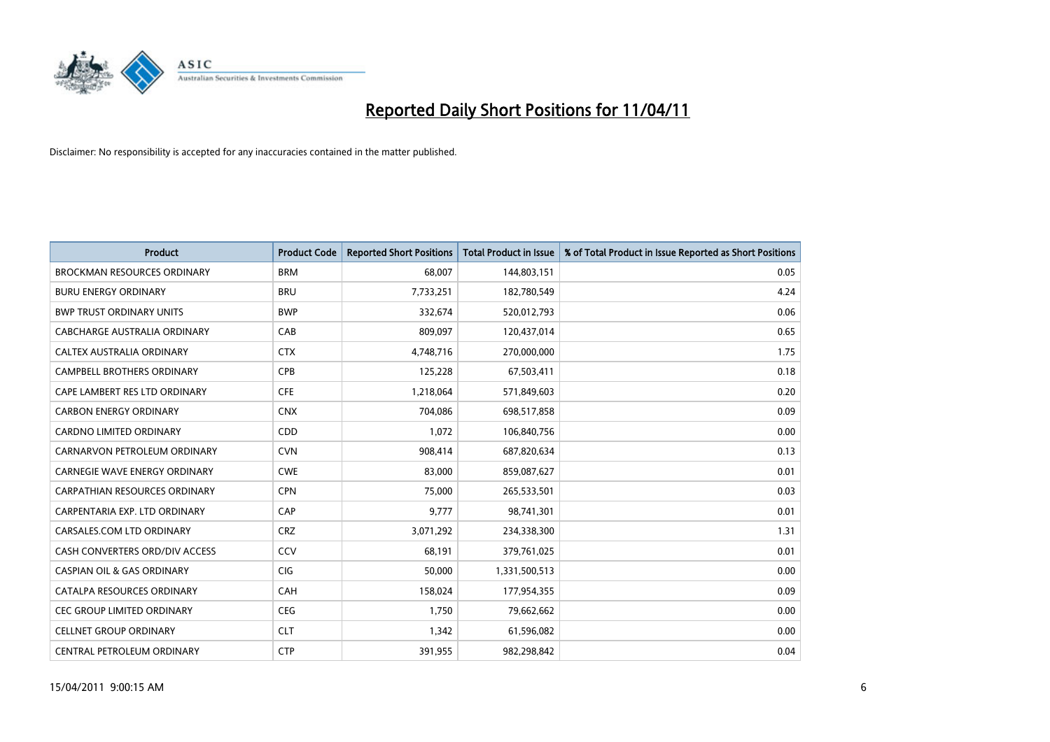

| <b>Product</b>                        | <b>Product Code</b> | <b>Reported Short Positions</b> | Total Product in Issue | % of Total Product in Issue Reported as Short Positions |
|---------------------------------------|---------------------|---------------------------------|------------------------|---------------------------------------------------------|
| <b>BROCKMAN RESOURCES ORDINARY</b>    | <b>BRM</b>          | 68,007                          | 144,803,151            | 0.05                                                    |
| <b>BURU ENERGY ORDINARY</b>           | <b>BRU</b>          | 7,733,251                       | 182,780,549            | 4.24                                                    |
| <b>BWP TRUST ORDINARY UNITS</b>       | <b>BWP</b>          | 332,674                         | 520,012,793            | 0.06                                                    |
| CABCHARGE AUSTRALIA ORDINARY          | CAB                 | 809,097                         | 120,437,014            | 0.65                                                    |
| <b>CALTEX AUSTRALIA ORDINARY</b>      | <b>CTX</b>          | 4,748,716                       | 270,000,000            | 1.75                                                    |
| <b>CAMPBELL BROTHERS ORDINARY</b>     | CPB                 | 125,228                         | 67,503,411             | 0.18                                                    |
| CAPE LAMBERT RES LTD ORDINARY         | <b>CFE</b>          | 1,218,064                       | 571,849,603            | 0.20                                                    |
| <b>CARBON ENERGY ORDINARY</b>         | <b>CNX</b>          | 704,086                         | 698,517,858            | 0.09                                                    |
| CARDNO LIMITED ORDINARY               | CDD                 | 1,072                           | 106,840,756            | 0.00                                                    |
| CARNARVON PETROLEUM ORDINARY          | <b>CVN</b>          | 908,414                         | 687,820,634            | 0.13                                                    |
| <b>CARNEGIE WAVE ENERGY ORDINARY</b>  | <b>CWE</b>          | 83,000                          | 859,087,627            | 0.01                                                    |
| <b>CARPATHIAN RESOURCES ORDINARY</b>  | <b>CPN</b>          | 75,000                          | 265,533,501            | 0.03                                                    |
| CARPENTARIA EXP. LTD ORDINARY         | CAP                 | 9.777                           | 98,741,301             | 0.01                                                    |
| CARSALES.COM LTD ORDINARY             | <b>CRZ</b>          | 3,071,292                       | 234,338,300            | 1.31                                                    |
| CASH CONVERTERS ORD/DIV ACCESS        | CCV                 | 68,191                          | 379,761,025            | 0.01                                                    |
| <b>CASPIAN OIL &amp; GAS ORDINARY</b> | <b>CIG</b>          | 50,000                          | 1,331,500,513          | 0.00                                                    |
| CATALPA RESOURCES ORDINARY            | <b>CAH</b>          | 158,024                         | 177,954,355            | 0.09                                                    |
| CEC GROUP LIMITED ORDINARY            | <b>CEG</b>          | 1,750                           | 79,662,662             | 0.00                                                    |
| <b>CELLNET GROUP ORDINARY</b>         | <b>CLT</b>          | 1,342                           | 61,596,082             | 0.00                                                    |
| CENTRAL PETROLEUM ORDINARY            | <b>CTP</b>          | 391,955                         | 982,298,842            | 0.04                                                    |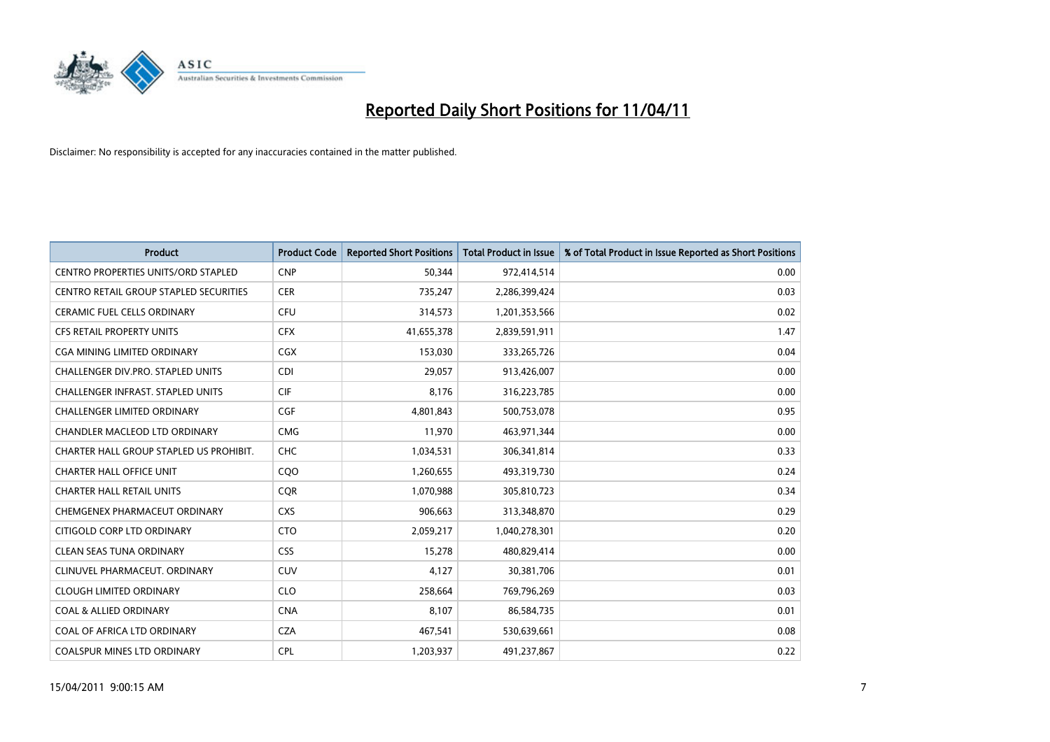

| <b>Product</b>                             | <b>Product Code</b> | <b>Reported Short Positions</b> | <b>Total Product in Issue</b> | % of Total Product in Issue Reported as Short Positions |
|--------------------------------------------|---------------------|---------------------------------|-------------------------------|---------------------------------------------------------|
| <b>CENTRO PROPERTIES UNITS/ORD STAPLED</b> | <b>CNP</b>          | 50,344                          | 972,414,514                   | 0.00                                                    |
| CENTRO RETAIL GROUP STAPLED SECURITIES     | <b>CER</b>          | 735,247                         | 2,286,399,424                 | 0.03                                                    |
| <b>CERAMIC FUEL CELLS ORDINARY</b>         | <b>CFU</b>          | 314,573                         | 1,201,353,566                 | 0.02                                                    |
| CFS RETAIL PROPERTY UNITS                  | <b>CFX</b>          | 41,655,378                      | 2,839,591,911                 | 1.47                                                    |
| CGA MINING LIMITED ORDINARY                | <b>CGX</b>          | 153,030                         | 333,265,726                   | 0.04                                                    |
| <b>CHALLENGER DIV.PRO. STAPLED UNITS</b>   | CDI                 | 29.057                          | 913,426,007                   | 0.00                                                    |
| <b>CHALLENGER INFRAST, STAPLED UNITS</b>   | <b>CIF</b>          | 8,176                           | 316,223,785                   | 0.00                                                    |
| <b>CHALLENGER LIMITED ORDINARY</b>         | <b>CGF</b>          | 4,801,843                       | 500,753,078                   | 0.95                                                    |
| CHANDLER MACLEOD LTD ORDINARY              | <b>CMG</b>          | 11,970                          | 463,971,344                   | 0.00                                                    |
| CHARTER HALL GROUP STAPLED US PROHIBIT.    | <b>CHC</b>          | 1,034,531                       | 306,341,814                   | 0.33                                                    |
| <b>CHARTER HALL OFFICE UNIT</b>            | CQO                 | 1,260,655                       | 493,319,730                   | 0.24                                                    |
| <b>CHARTER HALL RETAIL UNITS</b>           | <b>COR</b>          | 1,070,988                       | 305,810,723                   | 0.34                                                    |
| CHEMGENEX PHARMACEUT ORDINARY              | <b>CXS</b>          | 906,663                         | 313,348,870                   | 0.29                                                    |
| CITIGOLD CORP LTD ORDINARY                 | <b>CTO</b>          | 2,059,217                       | 1,040,278,301                 | 0.20                                                    |
| <b>CLEAN SEAS TUNA ORDINARY</b>            | <b>CSS</b>          | 15,278                          | 480,829,414                   | 0.00                                                    |
| CLINUVEL PHARMACEUT, ORDINARY              | <b>CUV</b>          | 4.127                           | 30,381,706                    | 0.01                                                    |
| <b>CLOUGH LIMITED ORDINARY</b>             | <b>CLO</b>          | 258,664                         | 769,796,269                   | 0.03                                                    |
| <b>COAL &amp; ALLIED ORDINARY</b>          | <b>CNA</b>          | 8,107                           | 86,584,735                    | 0.01                                                    |
| COAL OF AFRICA LTD ORDINARY                | <b>CZA</b>          | 467,541                         | 530,639,661                   | 0.08                                                    |
| COALSPUR MINES LTD ORDINARY                | <b>CPL</b>          | 1,203,937                       | 491,237,867                   | 0.22                                                    |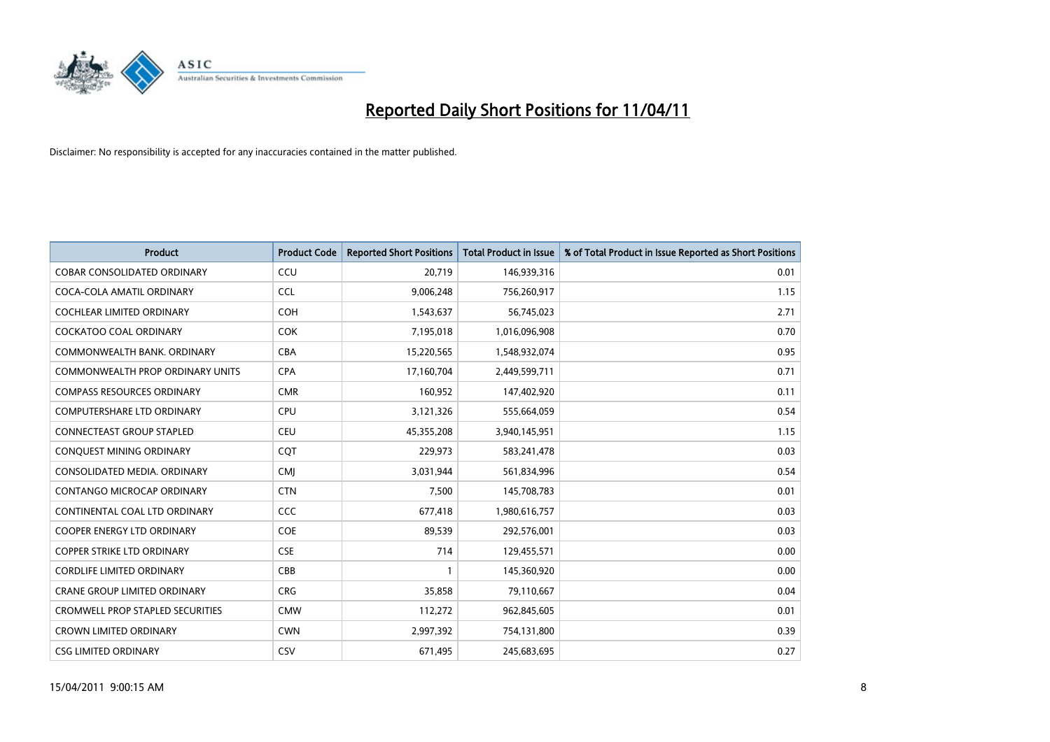

| <b>Product</b>                          | <b>Product Code</b> | <b>Reported Short Positions</b> | <b>Total Product in Issue</b> | % of Total Product in Issue Reported as Short Positions |
|-----------------------------------------|---------------------|---------------------------------|-------------------------------|---------------------------------------------------------|
| <b>COBAR CONSOLIDATED ORDINARY</b>      | CCU                 | 20,719                          | 146,939,316                   | 0.01                                                    |
| COCA-COLA AMATIL ORDINARY               | <b>CCL</b>          | 9,006,248                       | 756,260,917                   | 1.15                                                    |
| <b>COCHLEAR LIMITED ORDINARY</b>        | <b>COH</b>          | 1,543,637                       | 56,745,023                    | 2.71                                                    |
| COCKATOO COAL ORDINARY                  | <b>COK</b>          | 7,195,018                       | 1,016,096,908                 | 0.70                                                    |
| COMMONWEALTH BANK, ORDINARY             | <b>CBA</b>          | 15,220,565                      | 1,548,932,074                 | 0.95                                                    |
| <b>COMMONWEALTH PROP ORDINARY UNITS</b> | <b>CPA</b>          | 17,160,704                      | 2,449,599,711                 | 0.71                                                    |
| <b>COMPASS RESOURCES ORDINARY</b>       | <b>CMR</b>          | 160.952                         | 147,402,920                   | 0.11                                                    |
| <b>COMPUTERSHARE LTD ORDINARY</b>       | <b>CPU</b>          | 3,121,326                       | 555,664,059                   | 0.54                                                    |
| CONNECTEAST GROUP STAPLED               | <b>CEU</b>          | 45,355,208                      | 3,940,145,951                 | 1.15                                                    |
| <b>CONOUEST MINING ORDINARY</b>         | <b>COT</b>          | 229,973                         | 583,241,478                   | 0.03                                                    |
| CONSOLIDATED MEDIA, ORDINARY            | <b>CMI</b>          | 3,031,944                       | 561,834,996                   | 0.54                                                    |
| <b>CONTANGO MICROCAP ORDINARY</b>       | <b>CTN</b>          | 7,500                           | 145,708,783                   | 0.01                                                    |
| CONTINENTAL COAL LTD ORDINARY           | <b>CCC</b>          | 677,418                         | 1,980,616,757                 | 0.03                                                    |
| <b>COOPER ENERGY LTD ORDINARY</b>       | <b>COE</b>          | 89,539                          | 292,576,001                   | 0.03                                                    |
| COPPER STRIKE LTD ORDINARY              | <b>CSE</b>          | 714                             | 129,455,571                   | 0.00                                                    |
| <b>CORDLIFE LIMITED ORDINARY</b>        | CBB                 |                                 | 145,360,920                   | 0.00                                                    |
| <b>CRANE GROUP LIMITED ORDINARY</b>     | <b>CRG</b>          | 35,858                          | 79,110,667                    | 0.04                                                    |
| <b>CROMWELL PROP STAPLED SECURITIES</b> | <b>CMW</b>          | 112,272                         | 962,845,605                   | 0.01                                                    |
| <b>CROWN LIMITED ORDINARY</b>           | <b>CWN</b>          | 2,997,392                       | 754,131,800                   | 0.39                                                    |
| <b>CSG LIMITED ORDINARY</b>             | CSV                 | 671,495                         | 245,683,695                   | 0.27                                                    |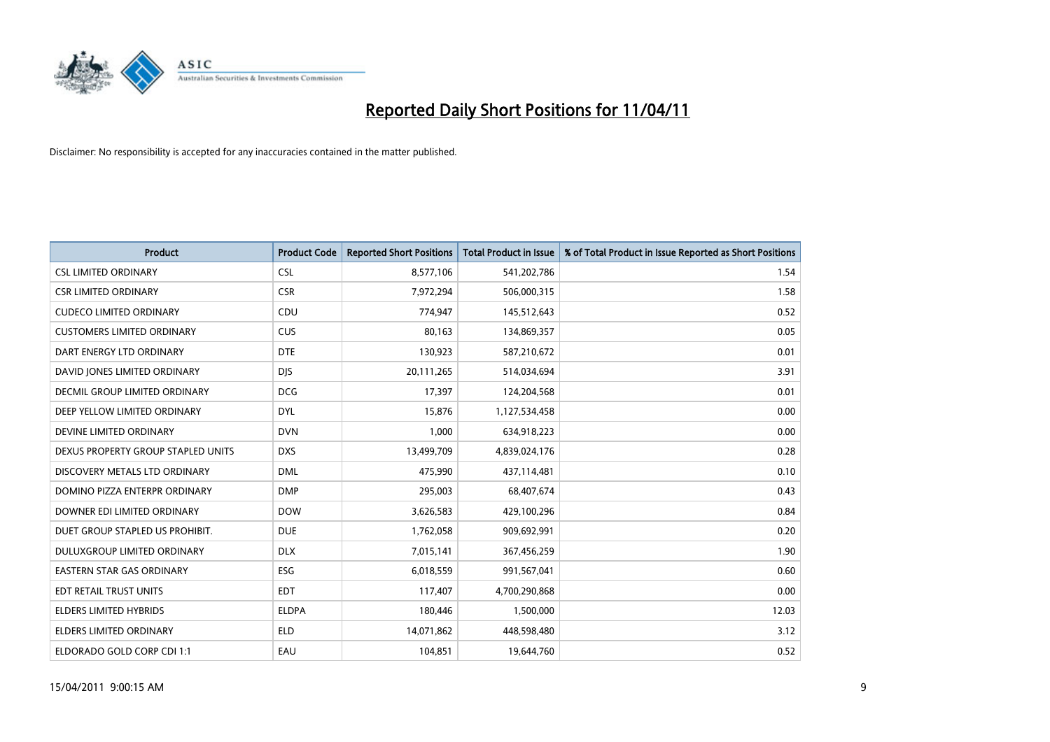

| <b>Product</b>                     | <b>Product Code</b> | <b>Reported Short Positions</b> | Total Product in Issue | % of Total Product in Issue Reported as Short Positions |
|------------------------------------|---------------------|---------------------------------|------------------------|---------------------------------------------------------|
| <b>CSL LIMITED ORDINARY</b>        | <b>CSL</b>          | 8,577,106                       | 541,202,786            | 1.54                                                    |
| <b>CSR LIMITED ORDINARY</b>        | <b>CSR</b>          | 7,972,294                       | 506,000,315            | 1.58                                                    |
| <b>CUDECO LIMITED ORDINARY</b>     | CDU                 | 774,947                         | 145,512,643            | 0.52                                                    |
| <b>CUSTOMERS LIMITED ORDINARY</b>  | <b>CUS</b>          | 80,163                          | 134,869,357            | 0.05                                                    |
| DART ENERGY LTD ORDINARY           | <b>DTE</b>          | 130,923                         | 587,210,672            | 0.01                                                    |
| DAVID JONES LIMITED ORDINARY       | <b>DJS</b>          | 20,111,265                      | 514,034,694            | 3.91                                                    |
| DECMIL GROUP LIMITED ORDINARY      | <b>DCG</b>          | 17,397                          | 124,204,568            | 0.01                                                    |
| DEEP YELLOW LIMITED ORDINARY       | <b>DYL</b>          | 15,876                          | 1,127,534,458          | 0.00                                                    |
| DEVINE LIMITED ORDINARY            | <b>DVN</b>          | 1,000                           | 634,918,223            | 0.00                                                    |
| DEXUS PROPERTY GROUP STAPLED UNITS | <b>DXS</b>          | 13,499,709                      | 4,839,024,176          | 0.28                                                    |
| DISCOVERY METALS LTD ORDINARY      | <b>DML</b>          | 475,990                         | 437,114,481            | 0.10                                                    |
| DOMINO PIZZA ENTERPR ORDINARY      | <b>DMP</b>          | 295,003                         | 68,407,674             | 0.43                                                    |
| DOWNER EDI LIMITED ORDINARY        | <b>DOW</b>          | 3,626,583                       | 429,100,296            | 0.84                                                    |
| DUET GROUP STAPLED US PROHIBIT.    | <b>DUE</b>          | 1,762,058                       | 909,692,991            | 0.20                                                    |
| DULUXGROUP LIMITED ORDINARY        | <b>DLX</b>          | 7,015,141                       | 367,456,259            | 1.90                                                    |
| <b>EASTERN STAR GAS ORDINARY</b>   | ESG                 | 6,018,559                       | 991,567,041            | 0.60                                                    |
| EDT RETAIL TRUST UNITS             | <b>EDT</b>          | 117,407                         | 4,700,290,868          | 0.00                                                    |
| ELDERS LIMITED HYBRIDS             | <b>ELDPA</b>        | 180,446                         | 1,500,000              | 12.03                                                   |
| <b>ELDERS LIMITED ORDINARY</b>     | <b>ELD</b>          | 14,071,862                      | 448,598,480            | 3.12                                                    |
| ELDORADO GOLD CORP CDI 1:1         | EAU                 | 104,851                         | 19,644,760             | 0.52                                                    |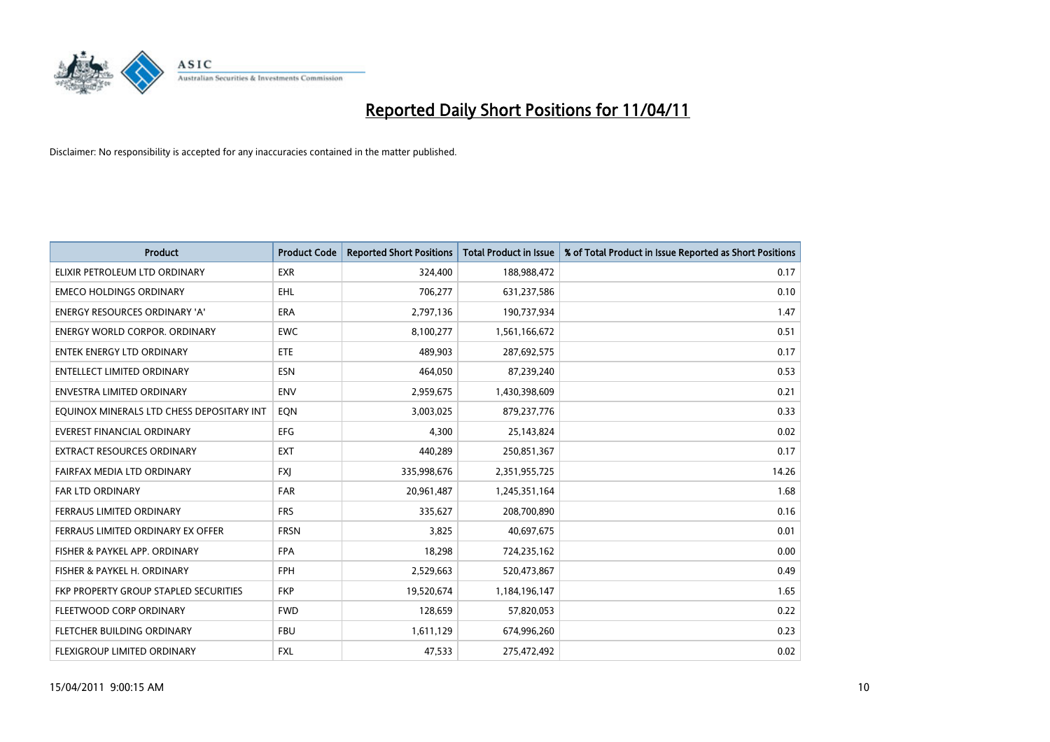

| Product                                   | <b>Product Code</b> | <b>Reported Short Positions</b> | <b>Total Product in Issue</b> | % of Total Product in Issue Reported as Short Positions |
|-------------------------------------------|---------------------|---------------------------------|-------------------------------|---------------------------------------------------------|
| ELIXIR PETROLEUM LTD ORDINARY             | <b>EXR</b>          | 324,400                         | 188,988,472                   | 0.17                                                    |
| <b>EMECO HOLDINGS ORDINARY</b>            | <b>EHL</b>          | 706,277                         | 631,237,586                   | 0.10                                                    |
| <b>ENERGY RESOURCES ORDINARY 'A'</b>      | <b>ERA</b>          | 2,797,136                       | 190,737,934                   | 1.47                                                    |
| ENERGY WORLD CORPOR. ORDINARY             | <b>EWC</b>          | 8,100,277                       | 1,561,166,672                 | 0.51                                                    |
| <b>ENTEK ENERGY LTD ORDINARY</b>          | <b>ETE</b>          | 489,903                         | 287,692,575                   | 0.17                                                    |
| <b>ENTELLECT LIMITED ORDINARY</b>         | <b>ESN</b>          | 464.050                         | 87,239,240                    | 0.53                                                    |
| ENVESTRA LIMITED ORDINARY                 | <b>ENV</b>          | 2,959,675                       | 1,430,398,609                 | 0.21                                                    |
| EQUINOX MINERALS LTD CHESS DEPOSITARY INT | EON                 | 3,003,025                       | 879,237,776                   | 0.33                                                    |
| <b>EVEREST FINANCIAL ORDINARY</b>         | <b>EFG</b>          | 4,300                           | 25,143,824                    | 0.02                                                    |
| <b>EXTRACT RESOURCES ORDINARY</b>         | <b>EXT</b>          | 440,289                         | 250,851,367                   | 0.17                                                    |
| FAIRFAX MEDIA LTD ORDINARY                | <b>FXI</b>          | 335,998,676                     | 2,351,955,725                 | 14.26                                                   |
| <b>FAR LTD ORDINARY</b>                   | <b>FAR</b>          | 20,961,487                      | 1,245,351,164                 | 1.68                                                    |
| FERRAUS LIMITED ORDINARY                  | <b>FRS</b>          | 335,627                         | 208,700,890                   | 0.16                                                    |
| FERRAUS LIMITED ORDINARY EX OFFER         | <b>FRSN</b>         | 3,825                           | 40,697,675                    | 0.01                                                    |
| FISHER & PAYKEL APP. ORDINARY             | <b>FPA</b>          | 18,298                          | 724,235,162                   | 0.00                                                    |
| FISHER & PAYKEL H. ORDINARY               | <b>FPH</b>          | 2,529,663                       | 520,473,867                   | 0.49                                                    |
| FKP PROPERTY GROUP STAPLED SECURITIES     | <b>FKP</b>          | 19,520,674                      | 1,184,196,147                 | 1.65                                                    |
| FLEETWOOD CORP ORDINARY                   | <b>FWD</b>          | 128,659                         | 57,820,053                    | 0.22                                                    |
| FLETCHER BUILDING ORDINARY                | <b>FBU</b>          | 1,611,129                       | 674,996,260                   | 0.23                                                    |
| FLEXIGROUP LIMITED ORDINARY               | <b>FXL</b>          | 47,533                          | 275,472,492                   | 0.02                                                    |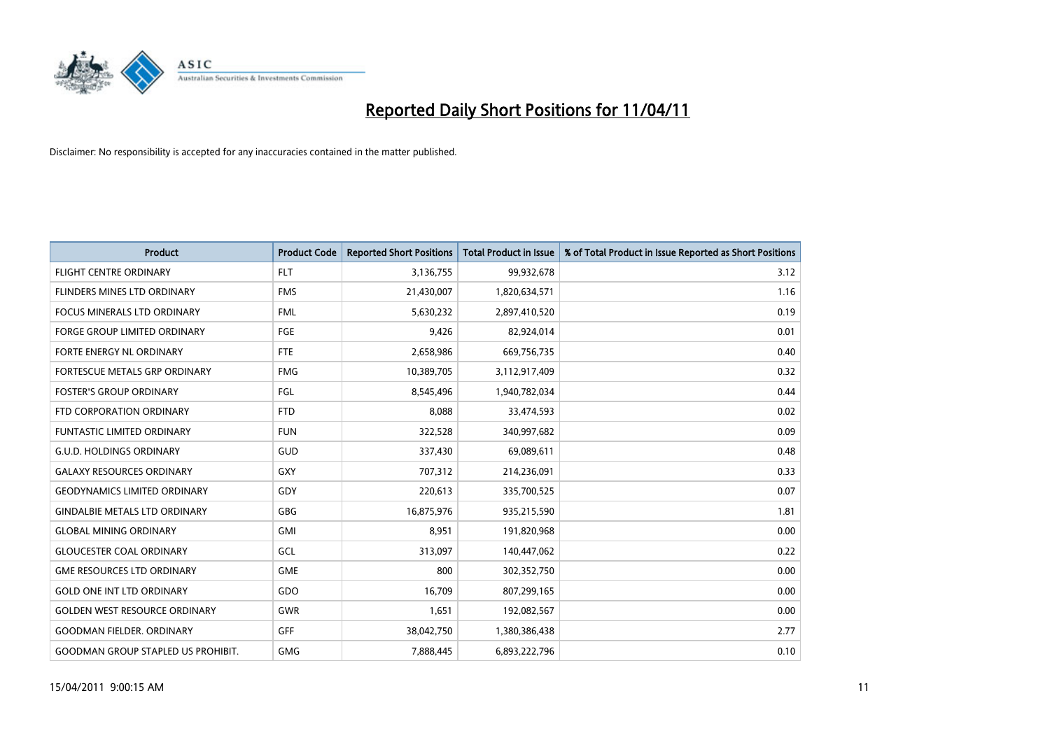

| <b>Product</b>                            | <b>Product Code</b> | <b>Reported Short Positions</b> | Total Product in Issue | % of Total Product in Issue Reported as Short Positions |
|-------------------------------------------|---------------------|---------------------------------|------------------------|---------------------------------------------------------|
| <b>FLIGHT CENTRE ORDINARY</b>             | <b>FLT</b>          | 3,136,755                       | 99,932,678             | 3.12                                                    |
| FLINDERS MINES LTD ORDINARY               | <b>FMS</b>          | 21,430,007                      | 1,820,634,571          | 1.16                                                    |
| <b>FOCUS MINERALS LTD ORDINARY</b>        | <b>FML</b>          | 5,630,232                       | 2,897,410,520          | 0.19                                                    |
| FORGE GROUP LIMITED ORDINARY              | <b>FGE</b>          | 9,426                           | 82,924,014             | 0.01                                                    |
| FORTE ENERGY NL ORDINARY                  | <b>FTE</b>          | 2,658,986                       | 669,756,735            | 0.40                                                    |
| FORTESCUE METALS GRP ORDINARY             | <b>FMG</b>          | 10,389,705                      | 3,112,917,409          | 0.32                                                    |
| <b>FOSTER'S GROUP ORDINARY</b>            | FGL                 | 8,545,496                       | 1,940,782,034          | 0.44                                                    |
| FTD CORPORATION ORDINARY                  | <b>FTD</b>          | 8,088                           | 33,474,593             | 0.02                                                    |
| <b>FUNTASTIC LIMITED ORDINARY</b>         | <b>FUN</b>          | 322,528                         | 340,997,682            | 0.09                                                    |
| <b>G.U.D. HOLDINGS ORDINARY</b>           | GUD                 | 337,430                         | 69,089,611             | 0.48                                                    |
| <b>GALAXY RESOURCES ORDINARY</b>          | <b>GXY</b>          | 707,312                         | 214,236,091            | 0.33                                                    |
| <b>GEODYNAMICS LIMITED ORDINARY</b>       | GDY                 | 220,613                         | 335,700,525            | 0.07                                                    |
| <b>GINDALBIE METALS LTD ORDINARY</b>      | <b>GBG</b>          | 16,875,976                      | 935,215,590            | 1.81                                                    |
| <b>GLOBAL MINING ORDINARY</b>             | <b>GMI</b>          | 8.951                           | 191,820,968            | 0.00                                                    |
| <b>GLOUCESTER COAL ORDINARY</b>           | GCL                 | 313,097                         | 140,447,062            | 0.22                                                    |
| <b>GME RESOURCES LTD ORDINARY</b>         | <b>GME</b>          | 800                             | 302,352,750            | 0.00                                                    |
| <b>GOLD ONE INT LTD ORDINARY</b>          | <b>GDO</b>          | 16,709                          | 807,299,165            | 0.00                                                    |
| <b>GOLDEN WEST RESOURCE ORDINARY</b>      | <b>GWR</b>          | 1,651                           | 192,082,567            | 0.00                                                    |
| <b>GOODMAN FIELDER, ORDINARY</b>          | GFF                 | 38,042,750                      | 1,380,386,438          | 2.77                                                    |
| <b>GOODMAN GROUP STAPLED US PROHIBIT.</b> | <b>GMG</b>          | 7.888.445                       | 6,893,222,796          | 0.10                                                    |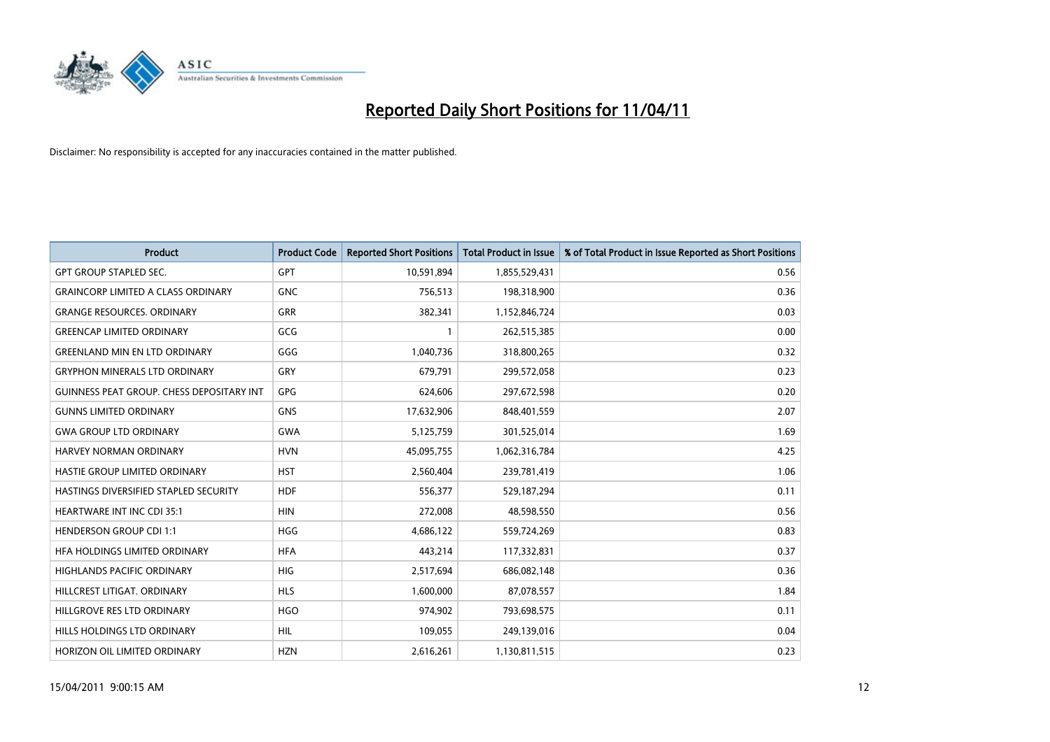

| <b>Product</b>                                   | <b>Product Code</b> | <b>Reported Short Positions</b> | Total Product in Issue | % of Total Product in Issue Reported as Short Positions |
|--------------------------------------------------|---------------------|---------------------------------|------------------------|---------------------------------------------------------|
| <b>GPT GROUP STAPLED SEC.</b>                    | <b>GPT</b>          | 10,591,894                      | 1,855,529,431          | 0.56                                                    |
| <b>GRAINCORP LIMITED A CLASS ORDINARY</b>        | <b>GNC</b>          | 756,513                         | 198,318,900            | 0.36                                                    |
| <b>GRANGE RESOURCES, ORDINARY</b>                | <b>GRR</b>          | 382,341                         | 1,152,846,724          | 0.03                                                    |
| <b>GREENCAP LIMITED ORDINARY</b>                 | GCG                 |                                 | 262,515,385            | 0.00                                                    |
| <b>GREENLAND MIN EN LTD ORDINARY</b>             | GGG                 | 1,040,736                       | 318,800,265            | 0.32                                                    |
| <b>GRYPHON MINERALS LTD ORDINARY</b>             | GRY                 | 679,791                         | 299,572,058            | 0.23                                                    |
| <b>GUINNESS PEAT GROUP. CHESS DEPOSITARY INT</b> | <b>GPG</b>          | 624.606                         | 297,672,598            | 0.20                                                    |
| <b>GUNNS LIMITED ORDINARY</b>                    | <b>GNS</b>          | 17,632,906                      | 848,401,559            | 2.07                                                    |
| <b>GWA GROUP LTD ORDINARY</b>                    | <b>GWA</b>          | 5,125,759                       | 301,525,014            | 1.69                                                    |
| HARVEY NORMAN ORDINARY                           | <b>HVN</b>          | 45,095,755                      | 1,062,316,784          | 4.25                                                    |
| HASTIE GROUP LIMITED ORDINARY                    | <b>HST</b>          | 2,560,404                       | 239,781,419            | 1.06                                                    |
| HASTINGS DIVERSIFIED STAPLED SECURITY            | <b>HDF</b>          | 556,377                         | 529,187,294            | 0.11                                                    |
| <b>HEARTWARE INT INC CDI 35:1</b>                | <b>HIN</b>          | 272,008                         | 48,598,550             | 0.56                                                    |
| <b>HENDERSON GROUP CDI 1:1</b>                   | <b>HGG</b>          | 4,686,122                       | 559,724,269            | 0.83                                                    |
| HFA HOLDINGS LIMITED ORDINARY                    | <b>HFA</b>          | 443,214                         | 117,332,831            | 0.37                                                    |
| <b>HIGHLANDS PACIFIC ORDINARY</b>                | <b>HIG</b>          | 2,517,694                       | 686,082,148            | 0.36                                                    |
| HILLCREST LITIGAT, ORDINARY                      | <b>HLS</b>          | 1,600,000                       | 87,078,557             | 1.84                                                    |
| HILLGROVE RES LTD ORDINARY                       | <b>HGO</b>          | 974,902                         | 793,698,575            | 0.11                                                    |
| <b>HILLS HOLDINGS LTD ORDINARY</b>               | <b>HIL</b>          | 109,055                         | 249,139,016            | 0.04                                                    |
| HORIZON OIL LIMITED ORDINARY                     | <b>HZN</b>          | 2,616,261                       | 1,130,811,515          | 0.23                                                    |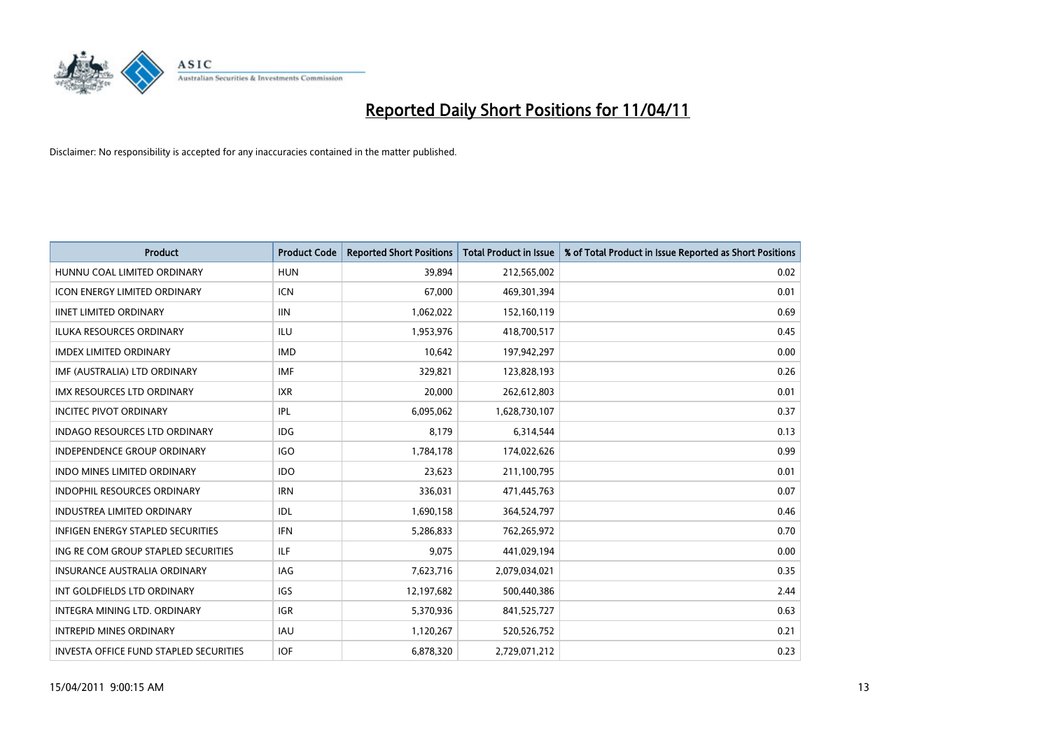

| Product                                  | <b>Product Code</b> | <b>Reported Short Positions</b> | Total Product in Issue | % of Total Product in Issue Reported as Short Positions |
|------------------------------------------|---------------------|---------------------------------|------------------------|---------------------------------------------------------|
| HUNNU COAL LIMITED ORDINARY              | <b>HUN</b>          | 39,894                          | 212,565,002            | 0.02                                                    |
| ICON ENERGY LIMITED ORDINARY             | <b>ICN</b>          | 67,000                          | 469,301,394            | 0.01                                                    |
| <b>IINET LIMITED ORDINARY</b>            | <b>IIN</b>          | 1,062,022                       | 152,160,119            | 0.69                                                    |
| ILUKA RESOURCES ORDINARY                 | ILU                 | 1,953,976                       | 418,700,517            | 0.45                                                    |
| <b>IMDEX LIMITED ORDINARY</b>            | <b>IMD</b>          | 10,642                          | 197,942,297            | 0.00                                                    |
| IMF (AUSTRALIA) LTD ORDINARY             | <b>IMF</b>          | 329,821                         | 123,828,193            | 0.26                                                    |
| <b>IMX RESOURCES LTD ORDINARY</b>        | <b>IXR</b>          | 20,000                          | 262,612,803            | 0.01                                                    |
| <b>INCITEC PIVOT ORDINARY</b>            | IPL                 | 6,095,062                       | 1,628,730,107          | 0.37                                                    |
| INDAGO RESOURCES LTD ORDINARY            | <b>IDG</b>          | 8,179                           | 6,314,544              | 0.13                                                    |
| <b>INDEPENDENCE GROUP ORDINARY</b>       | <b>IGO</b>          | 1,784,178                       | 174,022,626            | 0.99                                                    |
| <b>INDO MINES LIMITED ORDINARY</b>       | <b>IDO</b>          | 23,623                          | 211,100,795            | 0.01                                                    |
| <b>INDOPHIL RESOURCES ORDINARY</b>       | <b>IRN</b>          | 336,031                         | 471,445,763            | 0.07                                                    |
| <b>INDUSTREA LIMITED ORDINARY</b>        | IDL                 | 1,690,158                       | 364,524,797            | 0.46                                                    |
| <b>INFIGEN ENERGY STAPLED SECURITIES</b> | <b>IFN</b>          | 5,286,833                       | 762,265,972            | 0.70                                                    |
| ING RE COM GROUP STAPLED SECURITIES      | ILF.                | 9,075                           | 441,029,194            | 0.00                                                    |
| <b>INSURANCE AUSTRALIA ORDINARY</b>      | IAG                 | 7,623,716                       | 2,079,034,021          | 0.35                                                    |
| INT GOLDFIELDS LTD ORDINARY              | IGS                 | 12,197,682                      | 500,440,386            | 2.44                                                    |
| INTEGRA MINING LTD. ORDINARY             | <b>IGR</b>          | 5,370,936                       | 841,525,727            | 0.63                                                    |
| <b>INTREPID MINES ORDINARY</b>           | <b>IAU</b>          | 1,120,267                       | 520,526,752            | 0.21                                                    |
| INVESTA OFFICE FUND STAPLED SECURITIES   | <b>IOF</b>          | 6,878,320                       | 2,729,071,212          | 0.23                                                    |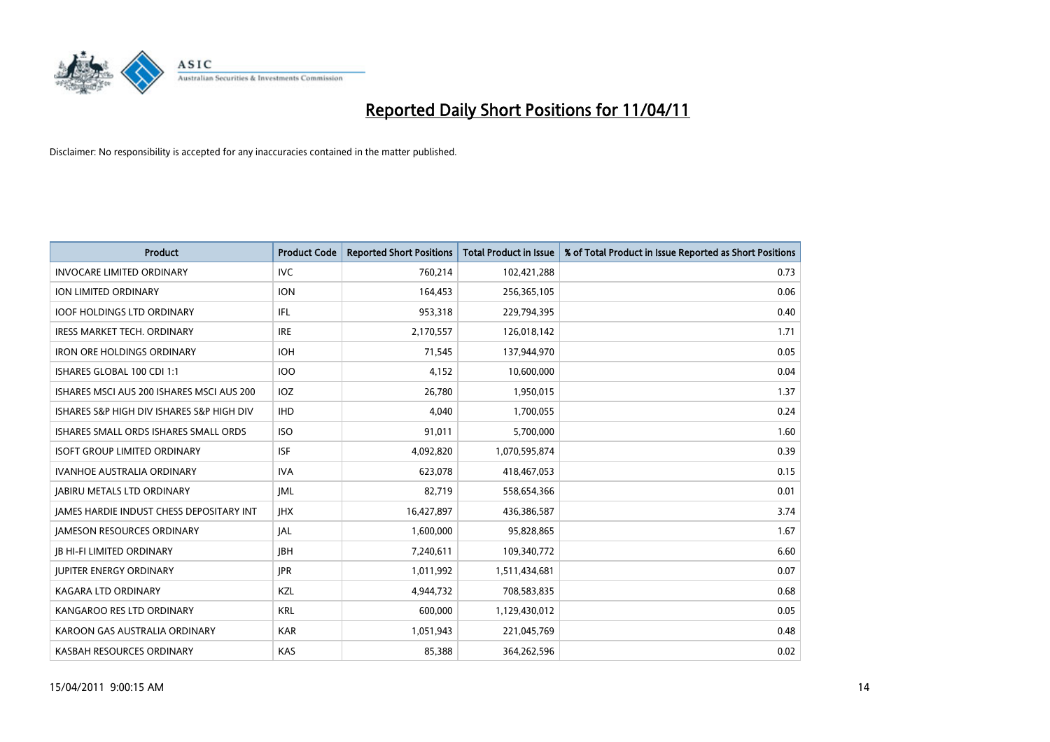

| <b>Product</b>                                  | <b>Product Code</b> | <b>Reported Short Positions</b> | Total Product in Issue | % of Total Product in Issue Reported as Short Positions |
|-------------------------------------------------|---------------------|---------------------------------|------------------------|---------------------------------------------------------|
| <b>INVOCARE LIMITED ORDINARY</b>                | <b>IVC</b>          | 760,214                         | 102,421,288            | 0.73                                                    |
| ION LIMITED ORDINARY                            | <b>ION</b>          | 164,453                         | 256,365,105            | 0.06                                                    |
| <b>IOOF HOLDINGS LTD ORDINARY</b>               | IFL.                | 953,318                         | 229,794,395            | 0.40                                                    |
| IRESS MARKET TECH. ORDINARY                     | <b>IRE</b>          | 2,170,557                       | 126,018,142            | 1.71                                                    |
| <b>IRON ORE HOLDINGS ORDINARY</b>               | <b>IOH</b>          | 71,545                          | 137,944,970            | 0.05                                                    |
| ISHARES GLOBAL 100 CDI 1:1                      | <b>IOO</b>          | 4,152                           | 10,600,000             | 0.04                                                    |
| ISHARES MSCI AUS 200 ISHARES MSCI AUS 200       | IOZ                 | 26,780                          | 1,950,015              | 1.37                                                    |
| ISHARES S&P HIGH DIV ISHARES S&P HIGH DIV       | <b>IHD</b>          | 4,040                           | 1,700,055              | 0.24                                                    |
| ISHARES SMALL ORDS ISHARES SMALL ORDS           | <b>ISO</b>          | 91,011                          | 5,700,000              | 1.60                                                    |
| <b>ISOFT GROUP LIMITED ORDINARY</b>             | <b>ISF</b>          | 4,092,820                       | 1,070,595,874          | 0.39                                                    |
| <b>IVANHOE AUSTRALIA ORDINARY</b>               | <b>IVA</b>          | 623,078                         | 418,467,053            | 0.15                                                    |
| <b>JABIRU METALS LTD ORDINARY</b>               | <b>IML</b>          | 82,719                          | 558,654,366            | 0.01                                                    |
| <b>IAMES HARDIE INDUST CHESS DEPOSITARY INT</b> | <b>IHX</b>          | 16,427,897                      | 436,386,587            | 3.74                                                    |
| <b>JAMESON RESOURCES ORDINARY</b>               | <b>JAL</b>          | 1,600,000                       | 95,828,865             | 1.67                                                    |
| <b>IB HI-FI LIMITED ORDINARY</b>                | <b>IBH</b>          | 7,240,611                       | 109,340,772            | 6.60                                                    |
| <b>JUPITER ENERGY ORDINARY</b>                  | <b>IPR</b>          | 1,011,992                       | 1,511,434,681          | 0.07                                                    |
| <b>KAGARA LTD ORDINARY</b>                      | KZL                 | 4,944,732                       | 708,583,835            | 0.68                                                    |
| KANGAROO RES LTD ORDINARY                       | <b>KRL</b>          | 600,000                         | 1,129,430,012          | 0.05                                                    |
| KAROON GAS AUSTRALIA ORDINARY                   | <b>KAR</b>          | 1,051,943                       | 221,045,769            | 0.48                                                    |
| KASBAH RESOURCES ORDINARY                       | <b>KAS</b>          | 85,388                          | 364,262,596            | 0.02                                                    |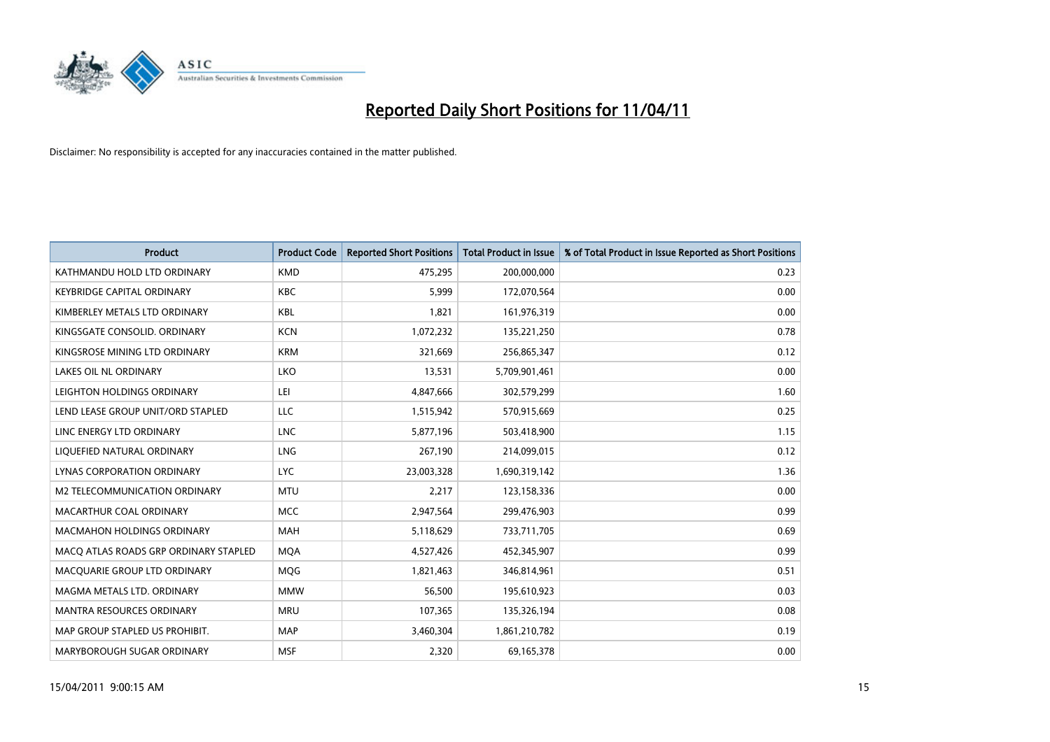

| Product                               | <b>Product Code</b> | <b>Reported Short Positions</b> | Total Product in Issue | % of Total Product in Issue Reported as Short Positions |
|---------------------------------------|---------------------|---------------------------------|------------------------|---------------------------------------------------------|
| KATHMANDU HOLD LTD ORDINARY           | <b>KMD</b>          | 475,295                         | 200,000,000            | 0.23                                                    |
| <b>KEYBRIDGE CAPITAL ORDINARY</b>     | <b>KBC</b>          | 5,999                           | 172,070,564            | 0.00                                                    |
| KIMBERLEY METALS LTD ORDINARY         | <b>KBL</b>          | 1,821                           | 161,976,319            | 0.00                                                    |
| KINGSGATE CONSOLID. ORDINARY          | <b>KCN</b>          | 1,072,232                       | 135,221,250            | 0.78                                                    |
| KINGSROSE MINING LTD ORDINARY         | <b>KRM</b>          | 321,669                         | 256,865,347            | 0.12                                                    |
| <b>LAKES OIL NL ORDINARY</b>          | <b>LKO</b>          | 13,531                          | 5,709,901,461          | 0.00                                                    |
| LEIGHTON HOLDINGS ORDINARY            | LEI                 | 4,847,666                       | 302,579,299            | 1.60                                                    |
| LEND LEASE GROUP UNIT/ORD STAPLED     | LLC                 | 1,515,942                       | 570,915,669            | 0.25                                                    |
| LINC ENERGY LTD ORDINARY              | <b>LNC</b>          | 5,877,196                       | 503,418,900            | 1.15                                                    |
| LIQUEFIED NATURAL ORDINARY            | <b>LNG</b>          | 267,190                         | 214,099,015            | 0.12                                                    |
| LYNAS CORPORATION ORDINARY            | <b>LYC</b>          | 23,003,328                      | 1,690,319,142          | 1.36                                                    |
| M2 TELECOMMUNICATION ORDINARY         | <b>MTU</b>          | 2,217                           | 123,158,336            | 0.00                                                    |
| MACARTHUR COAL ORDINARY               | <b>MCC</b>          | 2,947,564                       | 299,476,903            | 0.99                                                    |
| <b>MACMAHON HOLDINGS ORDINARY</b>     | <b>MAH</b>          | 5,118,629                       | 733,711,705            | 0.69                                                    |
| MACO ATLAS ROADS GRP ORDINARY STAPLED | <b>MOA</b>          | 4,527,426                       | 452,345,907            | 0.99                                                    |
| MACQUARIE GROUP LTD ORDINARY          | <b>MOG</b>          | 1,821,463                       | 346,814,961            | 0.51                                                    |
| MAGMA METALS LTD. ORDINARY            | <b>MMW</b>          | 56,500                          | 195,610,923            | 0.03                                                    |
| MANTRA RESOURCES ORDINARY             | <b>MRU</b>          | 107,365                         | 135,326,194            | 0.08                                                    |
| MAP GROUP STAPLED US PROHIBIT.        | <b>MAP</b>          | 3,460,304                       | 1,861,210,782          | 0.19                                                    |
| MARYBOROUGH SUGAR ORDINARY            | <b>MSF</b>          | 2,320                           | 69,165,378             | 0.00                                                    |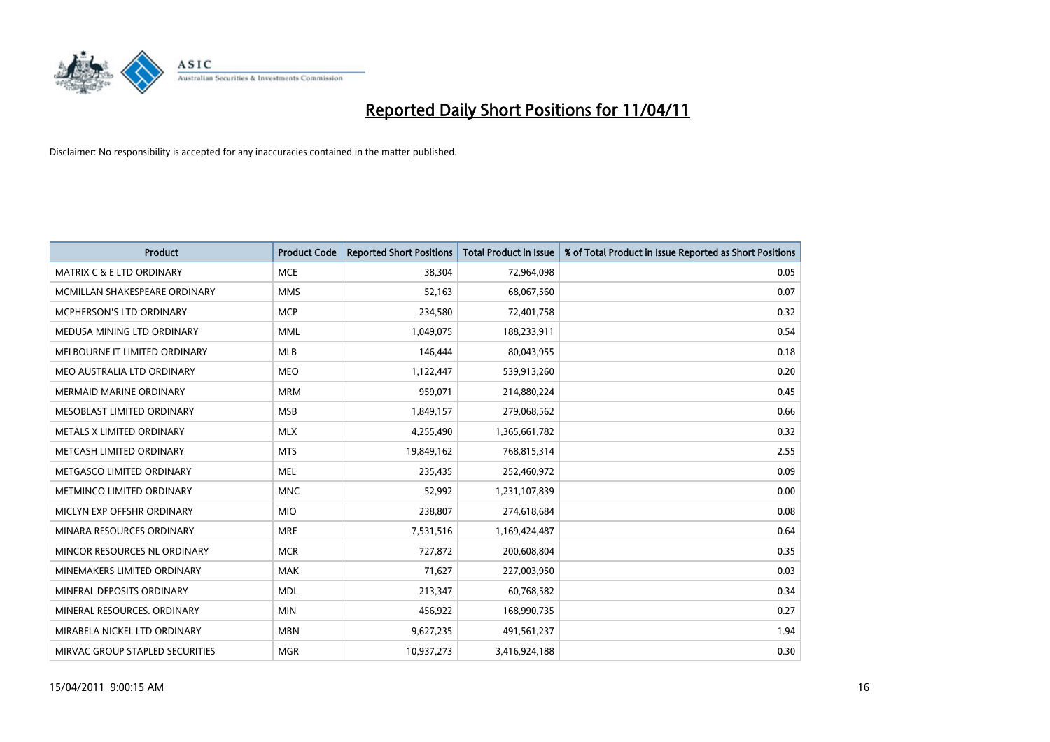

| <b>Product</b>                       | <b>Product Code</b> | <b>Reported Short Positions</b> | <b>Total Product in Issue</b> | % of Total Product in Issue Reported as Short Positions |
|--------------------------------------|---------------------|---------------------------------|-------------------------------|---------------------------------------------------------|
| <b>MATRIX C &amp; E LTD ORDINARY</b> | <b>MCE</b>          | 38,304                          | 72,964,098                    | 0.05                                                    |
| MCMILLAN SHAKESPEARE ORDINARY        | <b>MMS</b>          | 52,163                          | 68,067,560                    | 0.07                                                    |
| MCPHERSON'S LTD ORDINARY             | <b>MCP</b>          | 234,580                         | 72,401,758                    | 0.32                                                    |
| MEDUSA MINING LTD ORDINARY           | <b>MML</b>          | 1,049,075                       | 188,233,911                   | 0.54                                                    |
| MELBOURNE IT LIMITED ORDINARY        | <b>MLB</b>          | 146,444                         | 80,043,955                    | 0.18                                                    |
| MEO AUSTRALIA LTD ORDINARY           | <b>MEO</b>          | 1,122,447                       | 539,913,260                   | 0.20                                                    |
| <b>MERMAID MARINE ORDINARY</b>       | <b>MRM</b>          | 959.071                         | 214,880,224                   | 0.45                                                    |
| MESOBLAST LIMITED ORDINARY           | <b>MSB</b>          | 1,849,157                       | 279,068,562                   | 0.66                                                    |
| METALS X LIMITED ORDINARY            | <b>MLX</b>          | 4,255,490                       | 1,365,661,782                 | 0.32                                                    |
| METCASH LIMITED ORDINARY             | <b>MTS</b>          | 19,849,162                      | 768,815,314                   | 2.55                                                    |
| METGASCO LIMITED ORDINARY            | <b>MEL</b>          | 235,435                         | 252,460,972                   | 0.09                                                    |
| METMINCO LIMITED ORDINARY            | <b>MNC</b>          | 52,992                          | 1,231,107,839                 | 0.00                                                    |
| MICLYN EXP OFFSHR ORDINARY           | <b>MIO</b>          | 238,807                         | 274,618,684                   | 0.08                                                    |
| MINARA RESOURCES ORDINARY            | <b>MRE</b>          | 7,531,516                       | 1,169,424,487                 | 0.64                                                    |
| MINCOR RESOURCES NL ORDINARY         | <b>MCR</b>          | 727,872                         | 200,608,804                   | 0.35                                                    |
| MINEMAKERS LIMITED ORDINARY          | <b>MAK</b>          | 71,627                          | 227,003,950                   | 0.03                                                    |
| MINERAL DEPOSITS ORDINARY            | <b>MDL</b>          | 213,347                         | 60,768,582                    | 0.34                                                    |
| MINERAL RESOURCES. ORDINARY          | <b>MIN</b>          | 456,922                         | 168,990,735                   | 0.27                                                    |
| MIRABELA NICKEL LTD ORDINARY         | <b>MBN</b>          | 9,627,235                       | 491,561,237                   | 1.94                                                    |
| MIRVAC GROUP STAPLED SECURITIES      | <b>MGR</b>          | 10.937.273                      | 3,416,924,188                 | 0.30                                                    |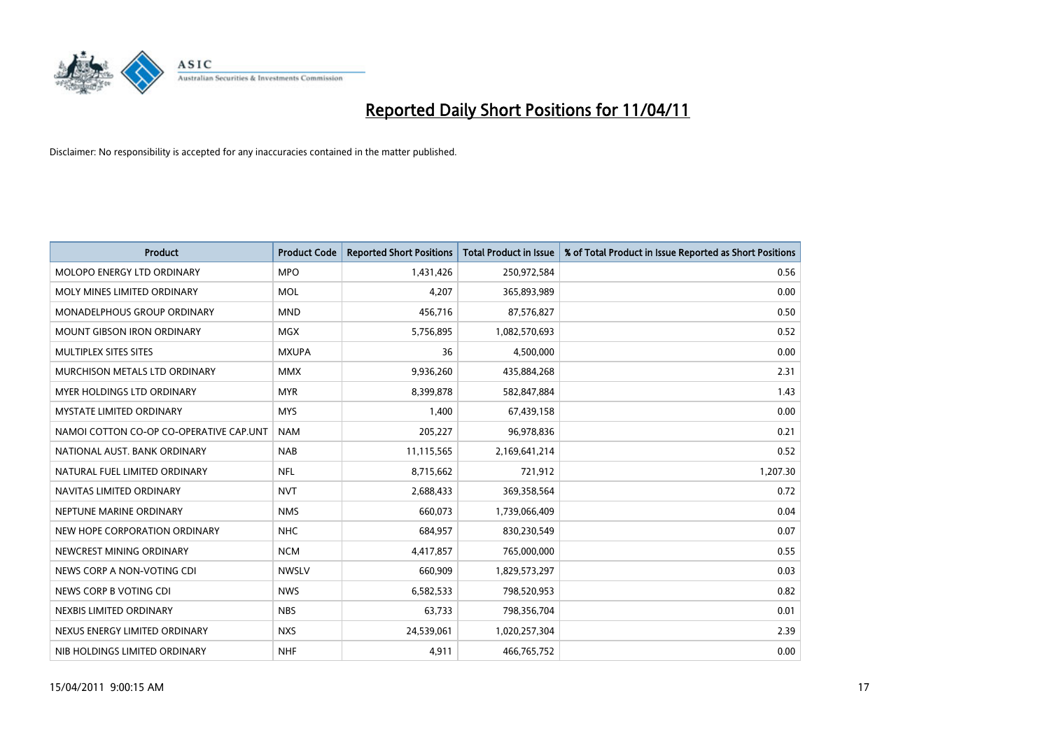

| Product                                 | <b>Product Code</b> | <b>Reported Short Positions</b> | <b>Total Product in Issue</b> | % of Total Product in Issue Reported as Short Positions |
|-----------------------------------------|---------------------|---------------------------------|-------------------------------|---------------------------------------------------------|
| MOLOPO ENERGY LTD ORDINARY              | <b>MPO</b>          | 1,431,426                       | 250,972,584                   | 0.56                                                    |
| MOLY MINES LIMITED ORDINARY             | <b>MOL</b>          | 4,207                           | 365,893,989                   | 0.00                                                    |
| <b>MONADELPHOUS GROUP ORDINARY</b>      | <b>MND</b>          | 456,716                         | 87,576,827                    | 0.50                                                    |
| <b>MOUNT GIBSON IRON ORDINARY</b>       | <b>MGX</b>          | 5,756,895                       | 1,082,570,693                 | 0.52                                                    |
| MULTIPLEX SITES SITES                   | <b>MXUPA</b>        | 36                              | 4,500,000                     | 0.00                                                    |
| MURCHISON METALS LTD ORDINARY           | <b>MMX</b>          | 9,936,260                       | 435,884,268                   | 2.31                                                    |
| <b>MYER HOLDINGS LTD ORDINARY</b>       | <b>MYR</b>          | 8,399,878                       | 582,847,884                   | 1.43                                                    |
| <b>MYSTATE LIMITED ORDINARY</b>         | <b>MYS</b>          | 1,400                           | 67,439,158                    | 0.00                                                    |
| NAMOI COTTON CO-OP CO-OPERATIVE CAP.UNT | <b>NAM</b>          | 205,227                         | 96,978,836                    | 0.21                                                    |
| NATIONAL AUST, BANK ORDINARY            | <b>NAB</b>          | 11,115,565                      | 2,169,641,214                 | 0.52                                                    |
| NATURAL FUEL LIMITED ORDINARY           | <b>NFL</b>          | 8,715,662                       | 721,912                       | 1,207.30                                                |
| NAVITAS LIMITED ORDINARY                | <b>NVT</b>          | 2,688,433                       | 369,358,564                   | 0.72                                                    |
| NEPTUNE MARINE ORDINARY                 | <b>NMS</b>          | 660.073                         | 1,739,066,409                 | 0.04                                                    |
| NEW HOPE CORPORATION ORDINARY           | <b>NHC</b>          | 684,957                         | 830,230,549                   | 0.07                                                    |
| NEWCREST MINING ORDINARY                | <b>NCM</b>          | 4,417,857                       | 765,000,000                   | 0.55                                                    |
| NEWS CORP A NON-VOTING CDI              | <b>NWSLV</b>        | 660,909                         | 1,829,573,297                 | 0.03                                                    |
| NEWS CORP B VOTING CDI                  | <b>NWS</b>          | 6,582,533                       | 798,520,953                   | 0.82                                                    |
| NEXBIS LIMITED ORDINARY                 | <b>NBS</b>          | 63,733                          | 798,356,704                   | 0.01                                                    |
| NEXUS ENERGY LIMITED ORDINARY           | <b>NXS</b>          | 24,539,061                      | 1,020,257,304                 | 2.39                                                    |
| NIB HOLDINGS LIMITED ORDINARY           | <b>NHF</b>          | 4,911                           | 466,765,752                   | 0.00                                                    |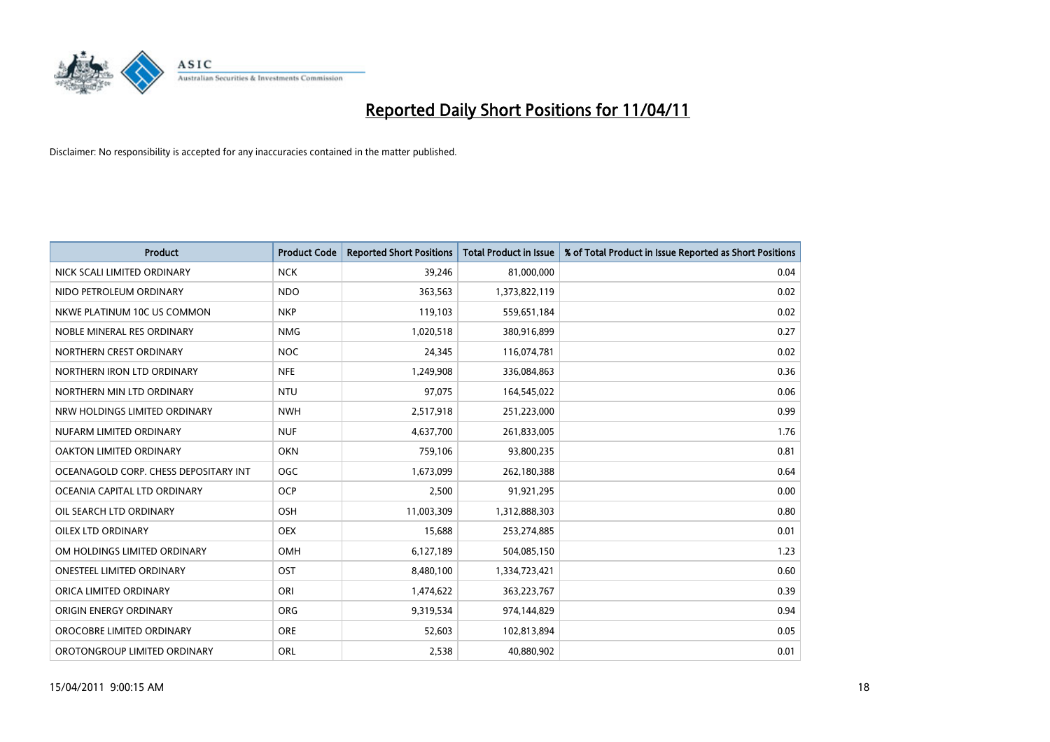

| <b>Product</b>                        | <b>Product Code</b> | <b>Reported Short Positions</b> | <b>Total Product in Issue</b> | % of Total Product in Issue Reported as Short Positions |
|---------------------------------------|---------------------|---------------------------------|-------------------------------|---------------------------------------------------------|
| NICK SCALI LIMITED ORDINARY           | <b>NCK</b>          | 39,246                          | 81,000,000                    | 0.04                                                    |
| NIDO PETROLEUM ORDINARY               | <b>NDO</b>          | 363,563                         | 1,373,822,119                 | 0.02                                                    |
| NKWE PLATINUM 10C US COMMON           | <b>NKP</b>          | 119,103                         | 559,651,184                   | 0.02                                                    |
| NOBLE MINERAL RES ORDINARY            | <b>NMG</b>          | 1,020,518                       | 380,916,899                   | 0.27                                                    |
| NORTHERN CREST ORDINARY               | <b>NOC</b>          | 24,345                          | 116,074,781                   | 0.02                                                    |
| NORTHERN IRON LTD ORDINARY            | <b>NFE</b>          | 1,249,908                       | 336,084,863                   | 0.36                                                    |
| NORTHERN MIN LTD ORDINARY             | <b>NTU</b>          | 97,075                          | 164,545,022                   | 0.06                                                    |
| NRW HOLDINGS LIMITED ORDINARY         | <b>NWH</b>          | 2,517,918                       | 251,223,000                   | 0.99                                                    |
| NUFARM LIMITED ORDINARY               | <b>NUF</b>          | 4,637,700                       | 261,833,005                   | 1.76                                                    |
| OAKTON LIMITED ORDINARY               | <b>OKN</b>          | 759,106                         | 93,800,235                    | 0.81                                                    |
| OCEANAGOLD CORP. CHESS DEPOSITARY INT | <b>OGC</b>          | 1,673,099                       | 262,180,388                   | 0.64                                                    |
| OCEANIA CAPITAL LTD ORDINARY          | <b>OCP</b>          | 2,500                           | 91,921,295                    | 0.00                                                    |
| OIL SEARCH LTD ORDINARY               | OSH                 | 11,003,309                      | 1,312,888,303                 | 0.80                                                    |
| <b>OILEX LTD ORDINARY</b>             | <b>OEX</b>          | 15,688                          | 253,274,885                   | 0.01                                                    |
| OM HOLDINGS LIMITED ORDINARY          | OMH                 | 6,127,189                       | 504,085,150                   | 1.23                                                    |
| <b>ONESTEEL LIMITED ORDINARY</b>      | OST                 | 8,480,100                       | 1,334,723,421                 | 0.60                                                    |
| ORICA LIMITED ORDINARY                | ORI                 | 1,474,622                       | 363,223,767                   | 0.39                                                    |
| <b>ORIGIN ENERGY ORDINARY</b>         | <b>ORG</b>          | 9,319,534                       | 974,144,829                   | 0.94                                                    |
| OROCOBRE LIMITED ORDINARY             | <b>ORE</b>          | 52,603                          | 102,813,894                   | 0.05                                                    |
| OROTONGROUP LIMITED ORDINARY          | <b>ORL</b>          | 2,538                           | 40,880,902                    | 0.01                                                    |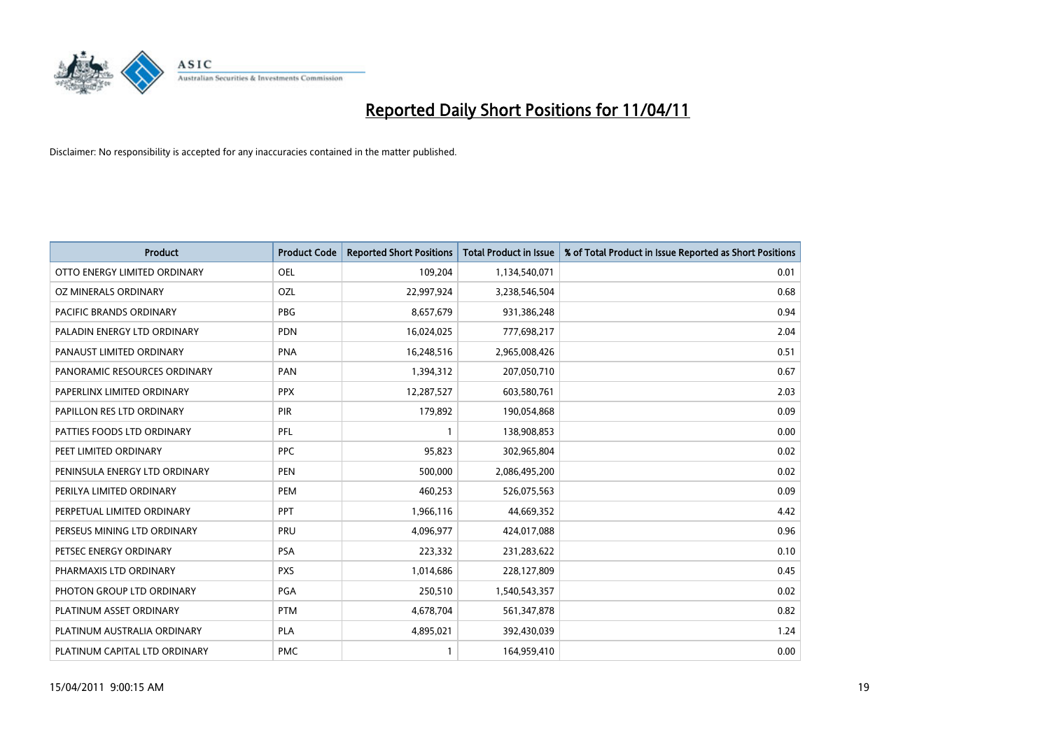

| Product                       | <b>Product Code</b> | <b>Reported Short Positions</b> | <b>Total Product in Issue</b> | % of Total Product in Issue Reported as Short Positions |
|-------------------------------|---------------------|---------------------------------|-------------------------------|---------------------------------------------------------|
| OTTO ENERGY LIMITED ORDINARY  | <b>OEL</b>          | 109,204                         | 1,134,540,071                 | 0.01                                                    |
| OZ MINERALS ORDINARY          | OZL                 | 22,997,924                      | 3,238,546,504                 | 0.68                                                    |
| PACIFIC BRANDS ORDINARY       | <b>PBG</b>          | 8,657,679                       | 931,386,248                   | 0.94                                                    |
| PALADIN ENERGY LTD ORDINARY   | <b>PDN</b>          | 16,024,025                      | 777,698,217                   | 2.04                                                    |
| PANAUST LIMITED ORDINARY      | <b>PNA</b>          | 16,248,516                      | 2,965,008,426                 | 0.51                                                    |
| PANORAMIC RESOURCES ORDINARY  | PAN                 | 1,394,312                       | 207,050,710                   | 0.67                                                    |
| PAPERLINX LIMITED ORDINARY    | <b>PPX</b>          | 12,287,527                      | 603,580,761                   | 2.03                                                    |
| PAPILLON RES LTD ORDINARY     | PIR                 | 179,892                         | 190,054,868                   | 0.09                                                    |
| PATTIES FOODS LTD ORDINARY    | PFL                 |                                 | 138,908,853                   | 0.00                                                    |
| PEET LIMITED ORDINARY         | <b>PPC</b>          | 95,823                          | 302,965,804                   | 0.02                                                    |
| PENINSULA ENERGY LTD ORDINARY | <b>PEN</b>          | 500,000                         | 2,086,495,200                 | 0.02                                                    |
| PERILYA LIMITED ORDINARY      | PEM                 | 460,253                         | 526,075,563                   | 0.09                                                    |
| PERPETUAL LIMITED ORDINARY    | PPT                 | 1,966,116                       | 44,669,352                    | 4.42                                                    |
| PERSEUS MINING LTD ORDINARY   | PRU                 | 4,096,977                       | 424,017,088                   | 0.96                                                    |
| PETSEC ENERGY ORDINARY        | <b>PSA</b>          | 223,332                         | 231,283,622                   | 0.10                                                    |
| PHARMAXIS LTD ORDINARY        | <b>PXS</b>          | 1,014,686                       | 228,127,809                   | 0.45                                                    |
| PHOTON GROUP LTD ORDINARY     | PGA                 | 250,510                         | 1,540,543,357                 | 0.02                                                    |
| PLATINUM ASSET ORDINARY       | <b>PTM</b>          | 4,678,704                       | 561,347,878                   | 0.82                                                    |
| PLATINUM AUSTRALIA ORDINARY   | <b>PLA</b>          | 4,895,021                       | 392,430,039                   | 1.24                                                    |
| PLATINUM CAPITAL LTD ORDINARY | <b>PMC</b>          |                                 | 164,959,410                   | 0.00                                                    |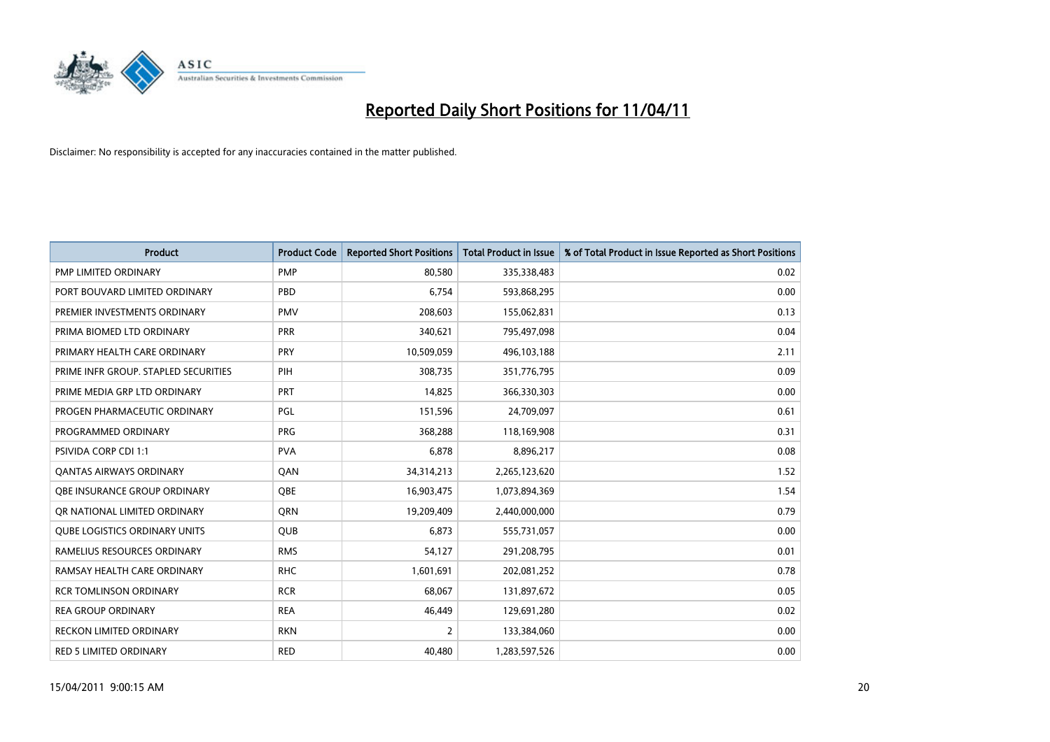

| Product                              | <b>Product Code</b> | <b>Reported Short Positions</b> | Total Product in Issue | % of Total Product in Issue Reported as Short Positions |
|--------------------------------------|---------------------|---------------------------------|------------------------|---------------------------------------------------------|
| PMP LIMITED ORDINARY                 | <b>PMP</b>          | 80,580                          | 335,338,483            | 0.02                                                    |
| PORT BOUVARD LIMITED ORDINARY        | PBD                 | 6,754                           | 593,868,295            | 0.00                                                    |
| PREMIER INVESTMENTS ORDINARY         | <b>PMV</b>          | 208,603                         | 155,062,831            | 0.13                                                    |
| PRIMA BIOMED LTD ORDINARY            | PRR                 | 340,621                         | 795,497,098            | 0.04                                                    |
| PRIMARY HEALTH CARE ORDINARY         | PRY                 | 10,509,059                      | 496,103,188            | 2.11                                                    |
| PRIME INFR GROUP. STAPLED SECURITIES | PIH                 | 308,735                         | 351,776,795            | 0.09                                                    |
| PRIME MEDIA GRP LTD ORDINARY         | PRT                 | 14,825                          | 366,330,303            | 0.00                                                    |
| PROGEN PHARMACEUTIC ORDINARY         | PGL                 | 151,596                         | 24,709,097             | 0.61                                                    |
| PROGRAMMED ORDINARY                  | <b>PRG</b>          | 368,288                         | 118,169,908            | 0.31                                                    |
| <b>PSIVIDA CORP CDI 1:1</b>          | <b>PVA</b>          | 6,878                           | 8,896,217              | 0.08                                                    |
| <b>QANTAS AIRWAYS ORDINARY</b>       | QAN                 | 34,314,213                      | 2,265,123,620          | 1.52                                                    |
| <b>QBE INSURANCE GROUP ORDINARY</b>  | <b>OBE</b>          | 16,903,475                      | 1,073,894,369          | 1.54                                                    |
| OR NATIONAL LIMITED ORDINARY         | <b>ORN</b>          | 19,209,409                      | 2,440,000,000          | 0.79                                                    |
| <b>QUBE LOGISTICS ORDINARY UNITS</b> | <b>QUB</b>          | 6.873                           | 555,731,057            | 0.00                                                    |
| RAMELIUS RESOURCES ORDINARY          | <b>RMS</b>          | 54,127                          | 291,208,795            | 0.01                                                    |
| RAMSAY HEALTH CARE ORDINARY          | <b>RHC</b>          | 1,601,691                       | 202,081,252            | 0.78                                                    |
| <b>RCR TOMLINSON ORDINARY</b>        | <b>RCR</b>          | 68,067                          | 131,897,672            | 0.05                                                    |
| <b>REA GROUP ORDINARY</b>            | <b>REA</b>          | 46,449                          | 129,691,280            | 0.02                                                    |
| <b>RECKON LIMITED ORDINARY</b>       | <b>RKN</b>          | $\overline{2}$                  | 133,384,060            | 0.00                                                    |
| RED 5 LIMITED ORDINARY               | <b>RED</b>          | 40,480                          | 1,283,597,526          | 0.00                                                    |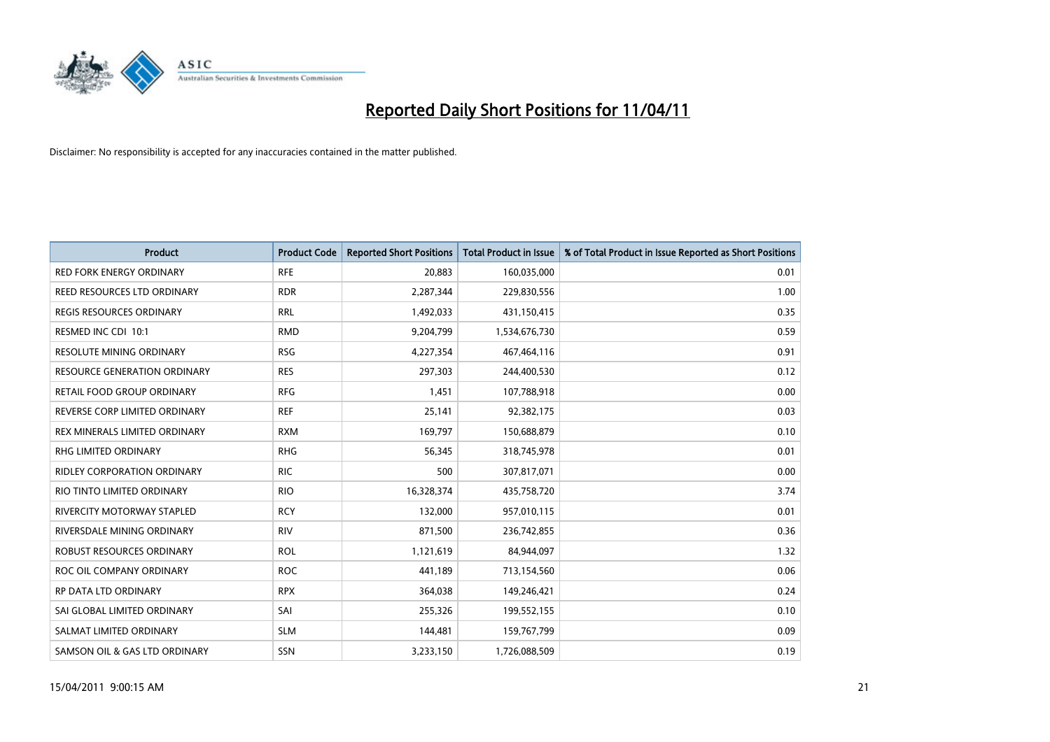

| <b>Product</b>                      | <b>Product Code</b> | <b>Reported Short Positions</b> | Total Product in Issue | % of Total Product in Issue Reported as Short Positions |
|-------------------------------------|---------------------|---------------------------------|------------------------|---------------------------------------------------------|
| <b>RED FORK ENERGY ORDINARY</b>     | <b>RFE</b>          | 20,883                          | 160,035,000            | 0.01                                                    |
| REED RESOURCES LTD ORDINARY         | <b>RDR</b>          | 2,287,344                       | 229,830,556            | 1.00                                                    |
| <b>REGIS RESOURCES ORDINARY</b>     | <b>RRL</b>          | 1,492,033                       | 431,150,415            | 0.35                                                    |
| RESMED INC CDI 10:1                 | <b>RMD</b>          | 9,204,799                       | 1,534,676,730          | 0.59                                                    |
| <b>RESOLUTE MINING ORDINARY</b>     | <b>RSG</b>          | 4,227,354                       | 467,464,116            | 0.91                                                    |
| <b>RESOURCE GENERATION ORDINARY</b> | <b>RES</b>          | 297,303                         | 244,400,530            | 0.12                                                    |
| RETAIL FOOD GROUP ORDINARY          | <b>RFG</b>          | 1,451                           | 107,788,918            | 0.00                                                    |
| REVERSE CORP LIMITED ORDINARY       | <b>REF</b>          | 25,141                          | 92,382,175             | 0.03                                                    |
| REX MINERALS LIMITED ORDINARY       | <b>RXM</b>          | 169,797                         | 150,688,879            | 0.10                                                    |
| <b>RHG LIMITED ORDINARY</b>         | <b>RHG</b>          | 56,345                          | 318,745,978            | 0.01                                                    |
| <b>RIDLEY CORPORATION ORDINARY</b>  | <b>RIC</b>          | 500                             | 307,817,071            | 0.00                                                    |
| RIO TINTO LIMITED ORDINARY          | <b>RIO</b>          | 16,328,374                      | 435,758,720            | 3.74                                                    |
| <b>RIVERCITY MOTORWAY STAPLED</b>   | <b>RCY</b>          | 132,000                         | 957,010,115            | 0.01                                                    |
| RIVERSDALE MINING ORDINARY          | <b>RIV</b>          | 871,500                         | 236,742,855            | 0.36                                                    |
| ROBUST RESOURCES ORDINARY           | <b>ROL</b>          | 1,121,619                       | 84,944,097             | 1.32                                                    |
| ROC OIL COMPANY ORDINARY            | <b>ROC</b>          | 441,189                         | 713,154,560            | 0.06                                                    |
| RP DATA LTD ORDINARY                | <b>RPX</b>          | 364,038                         | 149,246,421            | 0.24                                                    |
| SAI GLOBAL LIMITED ORDINARY         | SAI                 | 255,326                         | 199,552,155            | 0.10                                                    |
| SALMAT LIMITED ORDINARY             | <b>SLM</b>          | 144,481                         | 159,767,799            | 0.09                                                    |
| SAMSON OIL & GAS LTD ORDINARY       | <b>SSN</b>          | 3,233,150                       | 1,726,088,509          | 0.19                                                    |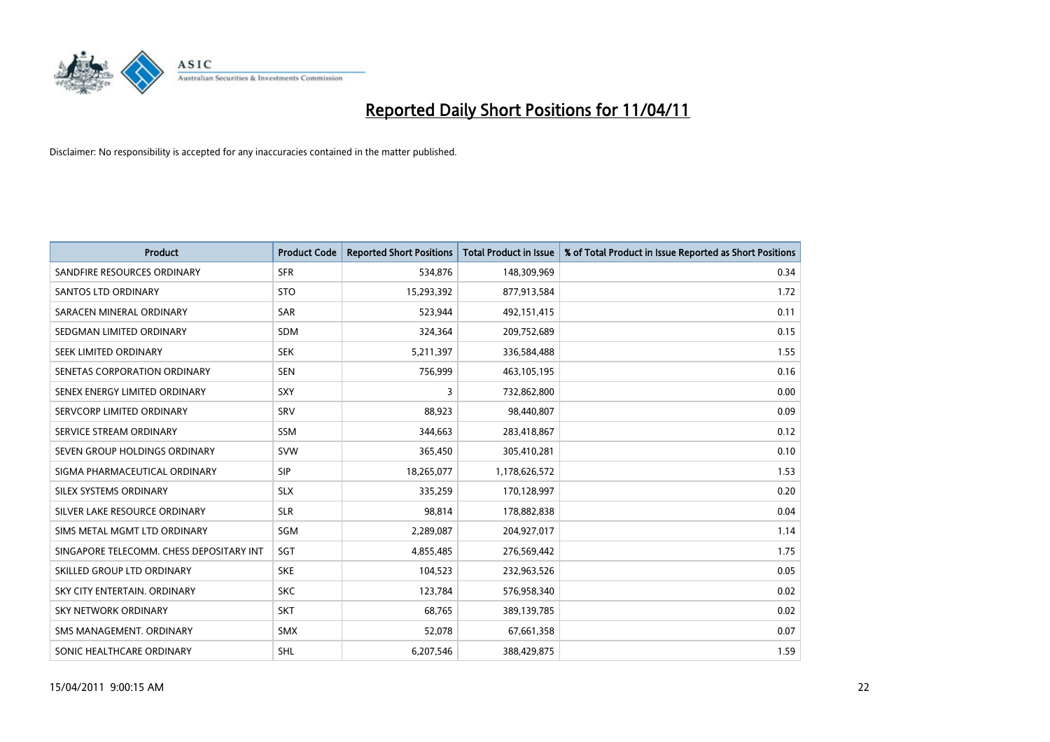

| <b>Product</b>                           | <b>Product Code</b> | <b>Reported Short Positions</b> | <b>Total Product in Issue</b> | % of Total Product in Issue Reported as Short Positions |
|------------------------------------------|---------------------|---------------------------------|-------------------------------|---------------------------------------------------------|
| SANDFIRE RESOURCES ORDINARY              | <b>SFR</b>          | 534,876                         | 148,309,969                   | 0.34                                                    |
| SANTOS LTD ORDINARY                      | <b>STO</b>          | 15,293,392                      | 877,913,584                   | 1.72                                                    |
| SARACEN MINERAL ORDINARY                 | <b>SAR</b>          | 523,944                         | 492,151,415                   | 0.11                                                    |
| SEDGMAN LIMITED ORDINARY                 | <b>SDM</b>          | 324,364                         | 209,752,689                   | 0.15                                                    |
| SEEK LIMITED ORDINARY                    | <b>SEK</b>          | 5,211,397                       | 336,584,488                   | 1.55                                                    |
| SENETAS CORPORATION ORDINARY             | <b>SEN</b>          | 756,999                         | 463,105,195                   | 0.16                                                    |
| SENEX ENERGY LIMITED ORDINARY            | <b>SXY</b>          | 3                               | 732,862,800                   | 0.00                                                    |
| SERVCORP LIMITED ORDINARY                | SRV                 | 88,923                          | 98,440,807                    | 0.09                                                    |
| SERVICE STREAM ORDINARY                  | <b>SSM</b>          | 344,663                         | 283,418,867                   | 0.12                                                    |
| SEVEN GROUP HOLDINGS ORDINARY            | <b>SVW</b>          | 365,450                         | 305,410,281                   | 0.10                                                    |
| SIGMA PHARMACEUTICAL ORDINARY            | <b>SIP</b>          | 18,265,077                      | 1,178,626,572                 | 1.53                                                    |
| SILEX SYSTEMS ORDINARY                   | <b>SLX</b>          | 335,259                         | 170,128,997                   | 0.20                                                    |
| SILVER LAKE RESOURCE ORDINARY            | <b>SLR</b>          | 98,814                          | 178,882,838                   | 0.04                                                    |
| SIMS METAL MGMT LTD ORDINARY             | SGM                 | 2,289,087                       | 204,927,017                   | 1.14                                                    |
| SINGAPORE TELECOMM. CHESS DEPOSITARY INT | SGT                 | 4,855,485                       | 276,569,442                   | 1.75                                                    |
| SKILLED GROUP LTD ORDINARY               | <b>SKE</b>          | 104,523                         | 232,963,526                   | 0.05                                                    |
| SKY CITY ENTERTAIN. ORDINARY             | <b>SKC</b>          | 123,784                         | 576,958,340                   | 0.02                                                    |
| <b>SKY NETWORK ORDINARY</b>              | <b>SKT</b>          | 68,765                          | 389,139,785                   | 0.02                                                    |
| SMS MANAGEMENT, ORDINARY                 | <b>SMX</b>          | 52,078                          | 67,661,358                    | 0.07                                                    |
| SONIC HEALTHCARE ORDINARY                | <b>SHL</b>          | 6,207,546                       | 388,429,875                   | 1.59                                                    |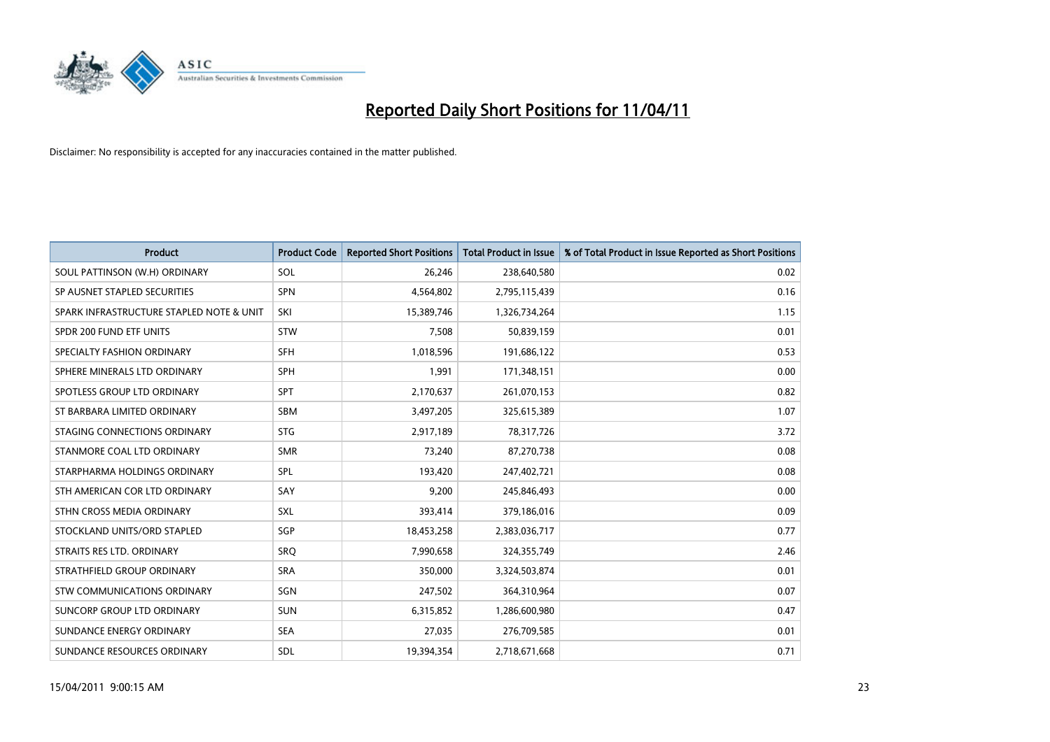

| <b>Product</b>                           | <b>Product Code</b> | <b>Reported Short Positions</b> | <b>Total Product in Issue</b> | % of Total Product in Issue Reported as Short Positions |
|------------------------------------------|---------------------|---------------------------------|-------------------------------|---------------------------------------------------------|
| SOUL PATTINSON (W.H) ORDINARY            | SOL                 | 26,246                          | 238,640,580                   | 0.02                                                    |
| SP AUSNET STAPLED SECURITIES             | <b>SPN</b>          | 4,564,802                       | 2,795,115,439                 | 0.16                                                    |
| SPARK INFRASTRUCTURE STAPLED NOTE & UNIT | SKI                 | 15,389,746                      | 1,326,734,264                 | 1.15                                                    |
| SPDR 200 FUND ETF UNITS                  | <b>STW</b>          | 7,508                           | 50,839,159                    | 0.01                                                    |
| SPECIALTY FASHION ORDINARY               | SFH                 | 1,018,596                       | 191,686,122                   | 0.53                                                    |
| SPHERE MINERALS LTD ORDINARY             | SPH                 | 1,991                           | 171,348,151                   | 0.00                                                    |
| SPOTLESS GROUP LTD ORDINARY              | <b>SPT</b>          | 2,170,637                       | 261,070,153                   | 0.82                                                    |
| ST BARBARA LIMITED ORDINARY              | <b>SBM</b>          | 3,497,205                       | 325,615,389                   | 1.07                                                    |
| STAGING CONNECTIONS ORDINARY             | <b>STG</b>          | 2,917,189                       | 78,317,726                    | 3.72                                                    |
| STANMORE COAL LTD ORDINARY               | <b>SMR</b>          | 73,240                          | 87,270,738                    | 0.08                                                    |
| STARPHARMA HOLDINGS ORDINARY             | SPL                 | 193,420                         | 247,402,721                   | 0.08                                                    |
| STH AMERICAN COR LTD ORDINARY            | SAY                 | 9,200                           | 245,846,493                   | 0.00                                                    |
| STHN CROSS MEDIA ORDINARY                | SXL                 | 393,414                         | 379,186,016                   | 0.09                                                    |
| STOCKLAND UNITS/ORD STAPLED              | SGP                 | 18,453,258                      | 2,383,036,717                 | 0.77                                                    |
| STRAITS RES LTD. ORDINARY                | SRO                 | 7,990,658                       | 324,355,749                   | 2.46                                                    |
| STRATHFIELD GROUP ORDINARY               | <b>SRA</b>          | 350,000                         | 3,324,503,874                 | 0.01                                                    |
| STW COMMUNICATIONS ORDINARY              | SGN                 | 247,502                         | 364,310,964                   | 0.07                                                    |
| SUNCORP GROUP LTD ORDINARY               | <b>SUN</b>          | 6,315,852                       | 1,286,600,980                 | 0.47                                                    |
| SUNDANCE ENERGY ORDINARY                 | <b>SEA</b>          | 27,035                          | 276,709,585                   | 0.01                                                    |
| SUNDANCE RESOURCES ORDINARY              | SDL                 | 19,394,354                      | 2,718,671,668                 | 0.71                                                    |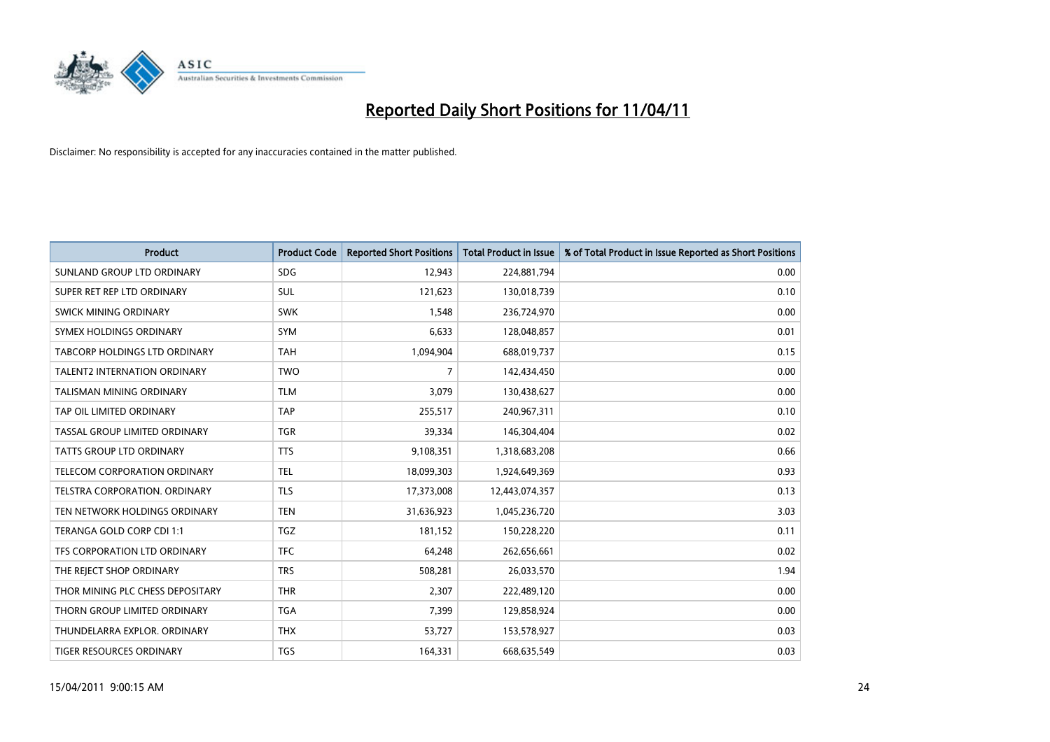

| <b>Product</b>                       | <b>Product Code</b> | <b>Reported Short Positions</b> | <b>Total Product in Issue</b> | % of Total Product in Issue Reported as Short Positions |
|--------------------------------------|---------------------|---------------------------------|-------------------------------|---------------------------------------------------------|
| SUNLAND GROUP LTD ORDINARY           | <b>SDG</b>          | 12,943                          | 224,881,794                   | 0.00                                                    |
| SUPER RET REP LTD ORDINARY           | SUL                 | 121,623                         | 130,018,739                   | 0.10                                                    |
| <b>SWICK MINING ORDINARY</b>         | <b>SWK</b>          | 1,548                           | 236,724,970                   | 0.00                                                    |
| SYMEX HOLDINGS ORDINARY              | <b>SYM</b>          | 6,633                           | 128,048,857                   | 0.01                                                    |
| <b>TABCORP HOLDINGS LTD ORDINARY</b> | <b>TAH</b>          | 1,094,904                       | 688,019,737                   | 0.15                                                    |
| <b>TALENT2 INTERNATION ORDINARY</b>  | <b>TWO</b>          | $\overline{7}$                  | 142,434,450                   | 0.00                                                    |
| <b>TALISMAN MINING ORDINARY</b>      | <b>TLM</b>          | 3.079                           | 130,438,627                   | 0.00                                                    |
| TAP OIL LIMITED ORDINARY             | <b>TAP</b>          | 255,517                         | 240,967,311                   | 0.10                                                    |
| TASSAL GROUP LIMITED ORDINARY        | <b>TGR</b>          | 39,334                          | 146,304,404                   | 0.02                                                    |
| <b>TATTS GROUP LTD ORDINARY</b>      | <b>TTS</b>          | 9,108,351                       | 1,318,683,208                 | 0.66                                                    |
| <b>TELECOM CORPORATION ORDINARY</b>  | <b>TEL</b>          | 18,099,303                      | 1,924,649,369                 | 0.93                                                    |
| TELSTRA CORPORATION. ORDINARY        | <b>TLS</b>          | 17,373,008                      | 12,443,074,357                | 0.13                                                    |
| TEN NETWORK HOLDINGS ORDINARY        | <b>TEN</b>          | 31,636,923                      | 1,045,236,720                 | 3.03                                                    |
| TERANGA GOLD CORP CDI 1:1            | <b>TGZ</b>          | 181,152                         | 150,228,220                   | 0.11                                                    |
| TFS CORPORATION LTD ORDINARY         | <b>TFC</b>          | 64,248                          | 262,656,661                   | 0.02                                                    |
| THE REJECT SHOP ORDINARY             | <b>TRS</b>          | 508,281                         | 26,033,570                    | 1.94                                                    |
| THOR MINING PLC CHESS DEPOSITARY     | <b>THR</b>          | 2,307                           | 222,489,120                   | 0.00                                                    |
| THORN GROUP LIMITED ORDINARY         | <b>TGA</b>          | 7,399                           | 129,858,924                   | 0.00                                                    |
| THUNDELARRA EXPLOR, ORDINARY         | <b>THX</b>          | 53,727                          | 153,578,927                   | 0.03                                                    |
| <b>TIGER RESOURCES ORDINARY</b>      | <b>TGS</b>          | 164,331                         | 668,635,549                   | 0.03                                                    |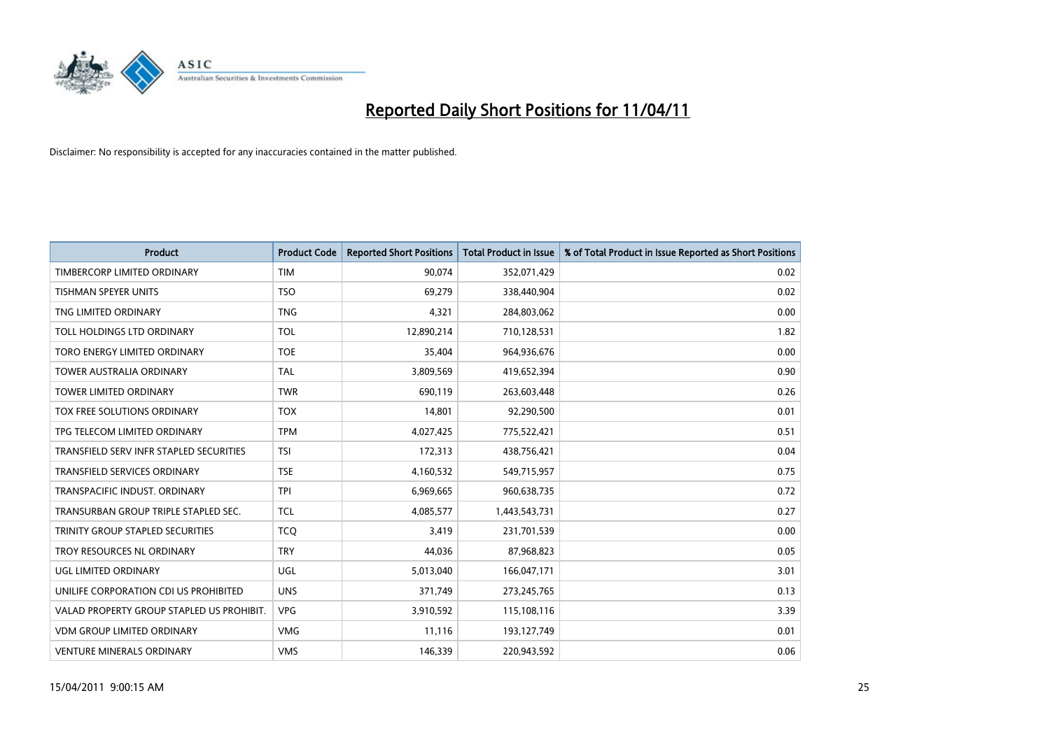

| <b>Product</b>                            | <b>Product Code</b> | <b>Reported Short Positions</b> | <b>Total Product in Issue</b> | % of Total Product in Issue Reported as Short Positions |
|-------------------------------------------|---------------------|---------------------------------|-------------------------------|---------------------------------------------------------|
| TIMBERCORP LIMITED ORDINARY               | <b>TIM</b>          | 90,074                          | 352,071,429                   | 0.02                                                    |
| <b>TISHMAN SPEYER UNITS</b>               | <b>TSO</b>          | 69,279                          | 338,440,904                   | 0.02                                                    |
| TNG LIMITED ORDINARY                      | <b>TNG</b>          | 4,321                           | 284,803,062                   | 0.00                                                    |
| TOLL HOLDINGS LTD ORDINARY                | <b>TOL</b>          | 12,890,214                      | 710,128,531                   | 1.82                                                    |
| TORO ENERGY LIMITED ORDINARY              | <b>TOE</b>          | 35,404                          | 964,936,676                   | 0.00                                                    |
| <b>TOWER AUSTRALIA ORDINARY</b>           | <b>TAL</b>          | 3,809,569                       | 419,652,394                   | 0.90                                                    |
| <b>TOWER LIMITED ORDINARY</b>             | <b>TWR</b>          | 690,119                         | 263,603,448                   | 0.26                                                    |
| <b>TOX FREE SOLUTIONS ORDINARY</b>        | <b>TOX</b>          | 14,801                          | 92,290,500                    | 0.01                                                    |
| TPG TELECOM LIMITED ORDINARY              | <b>TPM</b>          | 4,027,425                       | 775,522,421                   | 0.51                                                    |
| TRANSFIELD SERV INFR STAPLED SECURITIES   | <b>TSI</b>          | 172,313                         | 438,756,421                   | 0.04                                                    |
| <b>TRANSFIELD SERVICES ORDINARY</b>       | <b>TSE</b>          | 4,160,532                       | 549,715,957                   | 0.75                                                    |
| TRANSPACIFIC INDUST, ORDINARY             | <b>TPI</b>          | 6,969,665                       | 960,638,735                   | 0.72                                                    |
| TRANSURBAN GROUP TRIPLE STAPLED SEC.      | <b>TCL</b>          | 4,085,577                       | 1,443,543,731                 | 0.27                                                    |
| TRINITY GROUP STAPLED SECURITIES          | <b>TCO</b>          | 3,419                           | 231,701,539                   | 0.00                                                    |
| TROY RESOURCES NL ORDINARY                | <b>TRY</b>          | 44,036                          | 87,968,823                    | 0.05                                                    |
| <b>UGL LIMITED ORDINARY</b>               | <b>UGL</b>          | 5,013,040                       | 166,047,171                   | 3.01                                                    |
| UNILIFE CORPORATION CDI US PROHIBITED     | <b>UNS</b>          | 371,749                         | 273,245,765                   | 0.13                                                    |
| VALAD PROPERTY GROUP STAPLED US PROHIBIT. | <b>VPG</b>          | 3,910,592                       | 115,108,116                   | 3.39                                                    |
| <b>VDM GROUP LIMITED ORDINARY</b>         | <b>VMG</b>          | 11,116                          | 193,127,749                   | 0.01                                                    |
| <b>VENTURE MINERALS ORDINARY</b>          | <b>VMS</b>          | 146.339                         | 220,943,592                   | 0.06                                                    |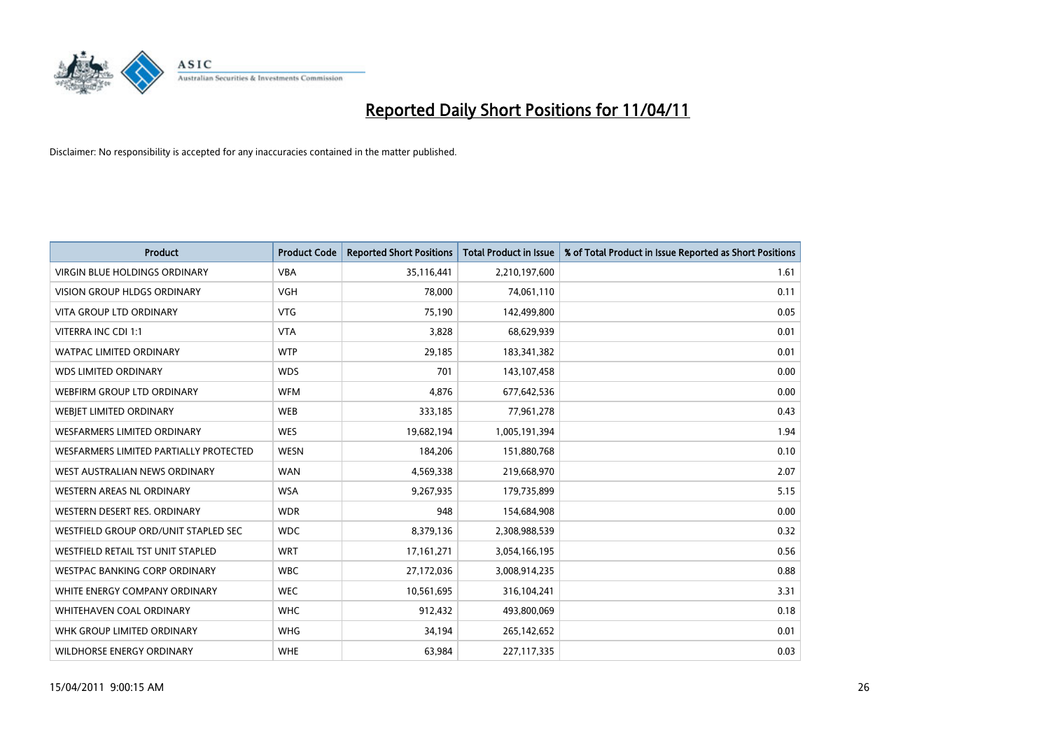

| <b>Product</b>                         | <b>Product Code</b> | <b>Reported Short Positions</b> | <b>Total Product in Issue</b> | % of Total Product in Issue Reported as Short Positions |
|----------------------------------------|---------------------|---------------------------------|-------------------------------|---------------------------------------------------------|
| <b>VIRGIN BLUE HOLDINGS ORDINARY</b>   | <b>VBA</b>          | 35,116,441                      | 2,210,197,600                 | 1.61                                                    |
| VISION GROUP HLDGS ORDINARY            | <b>VGH</b>          | 78,000                          | 74,061,110                    | 0.11                                                    |
| <b>VITA GROUP LTD ORDINARY</b>         | <b>VTG</b>          | 75,190                          | 142,499,800                   | 0.05                                                    |
| VITERRA INC CDI 1:1                    | <b>VTA</b>          | 3,828                           | 68,629,939                    | 0.01                                                    |
| <b>WATPAC LIMITED ORDINARY</b>         | <b>WTP</b>          | 29,185                          | 183,341,382                   | 0.01                                                    |
| <b>WDS LIMITED ORDINARY</b>            | <b>WDS</b>          | 701                             | 143,107,458                   | 0.00                                                    |
| WEBFIRM GROUP LTD ORDINARY             | <b>WFM</b>          | 4,876                           | 677,642,536                   | 0.00                                                    |
| WEBJET LIMITED ORDINARY                | <b>WEB</b>          | 333,185                         | 77,961,278                    | 0.43                                                    |
| <b>WESFARMERS LIMITED ORDINARY</b>     | <b>WES</b>          | 19,682,194                      | 1,005,191,394                 | 1.94                                                    |
| WESFARMERS LIMITED PARTIALLY PROTECTED | <b>WESN</b>         | 184,206                         | 151,880,768                   | 0.10                                                    |
| WEST AUSTRALIAN NEWS ORDINARY          | <b>WAN</b>          | 4,569,338                       | 219,668,970                   | 2.07                                                    |
| <b>WESTERN AREAS NL ORDINARY</b>       | <b>WSA</b>          | 9,267,935                       | 179,735,899                   | 5.15                                                    |
| WESTERN DESERT RES. ORDINARY           | <b>WDR</b>          | 948                             | 154,684,908                   | 0.00                                                    |
| WESTFIELD GROUP ORD/UNIT STAPLED SEC   | <b>WDC</b>          | 8,379,136                       | 2,308,988,539                 | 0.32                                                    |
| WESTFIELD RETAIL TST UNIT STAPLED      | <b>WRT</b>          | 17, 161, 271                    | 3,054,166,195                 | 0.56                                                    |
| WESTPAC BANKING CORP ORDINARY          | <b>WBC</b>          | 27,172,036                      | 3,008,914,235                 | 0.88                                                    |
| WHITE ENERGY COMPANY ORDINARY          | <b>WEC</b>          | 10,561,695                      | 316,104,241                   | 3.31                                                    |
| <b>WHITEHAVEN COAL ORDINARY</b>        | <b>WHC</b>          | 912,432                         | 493,800,069                   | 0.18                                                    |
| WHK GROUP LIMITED ORDINARY             | <b>WHG</b>          | 34,194                          | 265,142,652                   | 0.01                                                    |
| <b>WILDHORSE ENERGY ORDINARY</b>       | <b>WHE</b>          | 63,984                          | 227,117,335                   | 0.03                                                    |